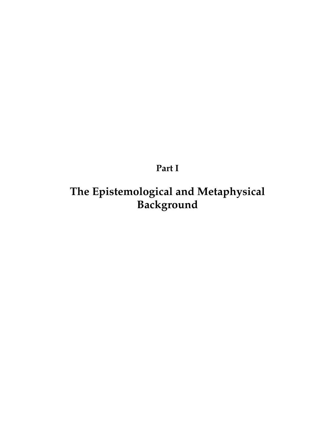**Part I**

**The Epistemological and Metaphysical Background**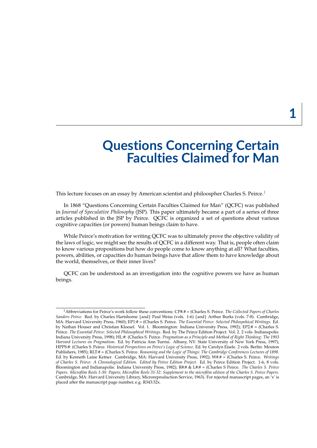# **Questions Concerning Certain Faculties Claimed for Man**

This lecture focuses on an essay by American scientist and philoospher Charles S. Peirce.<sup>[1](#page-2-0)</sup>

In 1868 "Questions Concerning Certain Faculties Claimed for Man" (QCFC) was published in *Journal of Speculative Philosophy* (JSP). This paper ultimately became a part of a series of three articles published in the JSP by Peirce. QCFC is organized a set of questions about various cognitive capacities (or powers) human beings claim to have.

While Peirce's motivation for writing QCFC was to ultimately prove the objective validity of the laws of logic, we might see the results of QCFC in a different way. That is, people often claim to know various propositions but how do people come to know anything at all? What faculties, powers, abilities, or capacities do human beings have that allow them to have knowledge about the world, themselves, or their inner lives?

QCFC can be understood as an investigation into the cognitive powers we have as human beings.

<span id="page-2-0"></span><sup>1</sup>Abbreviations for Peirce's work follow these conventions: CP#.# = (Charles S. Peirce. *The Collected Papers of Charles Sanders Peirce*. Red. by Charles Hartshorne {and} Paul Weiss (vols. 1-6) {and} Arthur Burks (vols. 7-8). Cambridge, MA: Harvard University Press, 1960); EP1:# = (Charles S. Peirce. *The Essential Peirce: Selected Philospohical Writings*. Ed. by Nathan Houser and Christian Kloesel. Vol. 1. Bloomington: Indiana University Press, 1992); EP2:# = (Charles S. Peirce. *The Essential Peirce: Selected Philosophical Writings*. Red. by The Peirce Edition Project. Vol. 2. 2 vols. Indianapolis: Indiana University Press, 1998); HL:#: (Charles S. Peirce. *Pragmatism as a Principle and Method of Right Thinking: The 1903 Harvard Lectures on Pragmatism*. Ed. by Patricia Ann Turrisi. Albany, NY: State University of New York Press, 1997); HPPS:#: (Charles S. Peirce. *Historical Perspectives on Peirce's Logic of Science*. Ed. by Carolyn Eisele. 2 vols. Berlin: Mouton Publishers, 1985); RLT:# = (Charles S. Peirce. *Reasoning and the Logic of Things: The Cambridge Conferences Lectures of 1898*. Ed. by Kenneth Laine Ketner. Cambridge, MA: Harvard University Press, 1992); W#.# = (Charles S. Peirce. *Writings of Charles S. Peirce: A Chronological Edition. Edited by Peirce Edition Project*. Ed. by Peirce Edition Project. 1-6, 8 vols. Bloomington and Indianapolis: Indiana University Press, 1982); R#:# & L#:# = (Charles S Peirce. *The Charles S. Peirce Papers. Microfilm Reels 1-30: Papers; Microfilm Reels 31-32: Supplement to the microfilm edition of the Charles S. Peirce Papers*. Cambridge, MA: Harvard University Library, Microreproduction Service, 1963). For rejected manuscript pages, an 'x' is placed after the manuscript page number, e.g. R343:32x.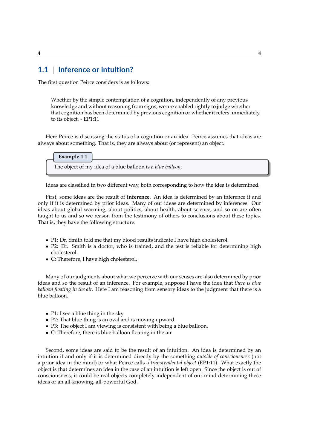# **1.1** | **Inference or intuition?**

The first question Peirce considers is as follows:

Whether by the simple contemplation of a cognition, independently of any previous knowledge and without reasoning from signs, we are enabled rightly to judge whether that cognition has been determined by previous cognition or whether it refers immediately to its object. - EP1:11

Here Peirce is discussing the status of a cognition or an idea. Peirce assumes that ideas are always about something. That is, they are always about (or represent) an object.

**Example 1.1** The object of my idea of a blue balloon is a *blue balloon*.

Ideas are classified in two different way, both corresponding to how the idea is determined.

First, some ideas are the result of **inference**. An idea is determined by an inference if and only if it is determined by prior ideas. Many of our ideas are determined by inferences. Our ideas about global warming, about politics, about health, about science, and so on are often taught to us and so we reason from the testimony of others to conclusions about these topics. That is, they have the following structure:

- P1: Dr. Smith told me that my blood results indicate I have high cholesterol.
- P2: Dr. Smith is a doctor, who is trained, and the test is reliable for determining high cholesterol.
- C: Therefore, I have high cholesterol.

Many of our judgments about what we perceive with our senses are also determined by prior ideas and so the result of an inference. For example, suppose I have the idea that *there is blue balloon floating in the air*. Here I am reasoning from sensory ideas to the judgment that there is a blue balloon.

- P1: I see a blue thing in the sky
- P2: That blue thing is an oval and is moving upward.
- P3: The object I am viewing is consistent with being a blue balloon.
- C: Therefore, there is blue balloon floating in the air

Second, some ideas are said to be the result of an intuition. An idea is determined by an intuition if and only if it is determined directly by the something *outside of consciousness* (not a prior idea in the mind) or what Peirce calls a *transcendental object* (EP1:11). What exactly the object is that determines an idea in the case of an intuition is left open. Since the object is out of consciousness, it could be real objects completely independent of our mind determining these ideas or an all-knowing, all-powerful God.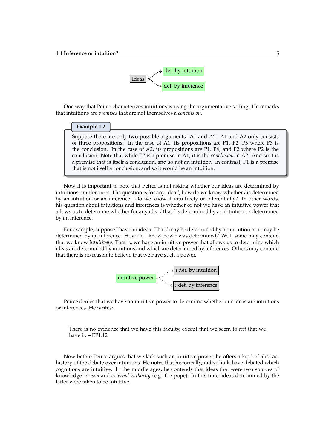

One way that Peirce characterizes intuitions is using the argumentative setting. He remarks that intuitions are *premises* that are not themselves a *conclusion*.

#### **Example 1.2**

Suppose there are only two possible arguments: A1 and A2. A1 and A2 only consists of three propositions. In the case of A1, its propositions are P1, P2, P3 where P3 is the conclusion. In the case of A2, its propositions are P1, P4, and P2 where P2 is the conclusion. Note that while P2 is a premise in A1, it is the *conclusion* in A2. And so it is a premise that is itself a conclusion, and so not an intuition. In contrast, P1 is a premise that is not itself a conclusion, and so it would be an intuition.

Now it is important to note that Peirce is not asking whether our ideas are determined by intuitions or inferences. His question is for any idea *i*, how do we know whether *i* is determined by an intuition or an inference. Do we know it intuitively or inferentially? In other words, his question about intuitions and inferences is whether or not we have an intuitive power that allows us to determine whether for any idea *i* that *i* is determined by an intuition or determined by an inference.

For example, suppose I have an idea *i*. That *i* may be determined by an intuition or it may be determined by an inference. How do I know how *i* was determined? Well, some may contend that we know *intuitively*. That is, we have an intuitive power that allows us to determine which ideas are determined by intuitions and which are determined by inferences. Others may contend that there is no reason to believe that we have such a power.



Peirce denies that we have an intuitive power to determine whether our ideas are intuitions or inferences. He writes:

There is no evidence that we have this faculty, except that we seem to *feel* that we have it. – EP1:12

Now before Peirce argues that we lack such an intuitive power, he offers a kind of abstract history of the debate over intuitions. He notes that historically, individuals have debated which cognitions are intuitive. In the middle ages, he contends that ideas that were two sources of knowledge: *reason* and *external authority* (e.g. the pope). In this time, ideas determined by the latter were taken to be intuitive.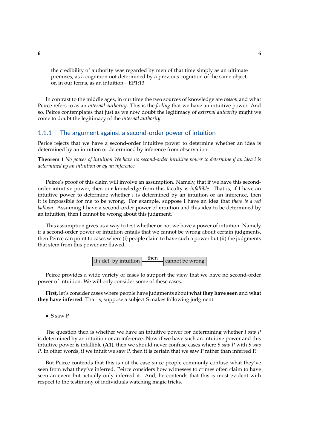the credibility of authority was regarded by men of that time simply as an ultimate premises, as a cognition not determined by a previous cognition of the same object, or, in our terms, as an intuition – EP1:13

In contrast to the middle ages, in our time the two sources of knowledge are *reason* and what Peirce refers to as an *internal authority*. This is the *feeling* that we have an intuitive power. And so, Peirce contemplates that just as we now doubt the legitimacy of *external authority* might we come to doubt the legitimacy of the *internal authority*.

### 1.1.1 | The argument against a second-order power of intuition

Perice rejects that we have a second-order intuitive power to determine whether an idea is determined by an intuition or determined by inference from observation.

<span id="page-5-0"></span>**Theorem 1** *No power of intuition We have no second-order intuitive power to determine if an idea i is determined by an intuition or by an inference.*

Peirce's proof of this claim will involve an assumption. Namely, that if we have this secondorder intuitive power, then our knowledge from this faculty is *infallible*. That is, if I have an intuitive power to determine whether *i* is determined by an intuition or an inference, then it is impossible for me to be wrong. For example, suppose I have an idea that *there is a red balloon*. Assuming I have a second-order power of intuition and this idea to be determined by an intuition, then I cannot be wrong about this judgment.

This assumption gives us a way to test whether or not we have a power of intuition. Namely if a second-order power of intuition entails that we cannot be wrong about certain judgments, then Peirce can point to cases where (i) people claim to have such a power but (ii) the judgments that stem from this power are flawed.

if *i* det. by intuition then cannot be wrong

Peirce provides a wide variety of cases to support the view that we have no second-order power of intuition. We will only consider some of these cases.

**First,** let's consider cases where people have judgments about **what they have seen** and **what they have inferred**. That is, suppose a subject S makes following judgment:

• S saw P

The question then is whether we have an intuitive power for determining whether *I saw P* is determined by an intuition or an inference. Now if we have such an intuitive power and this intuitive power is infallible (**A1**), then we should never confuse cases where *S saw P* with *S saw P*. In other words, if we intuit we saw P, then it is certain that we saw P rather than inferred P.

But Peirce contends that this is not the case since people commonly confuse what they've seen from what they've inferred. Peirce considers how witnesses to crimes often claim to have seen an event but actually only inferred it. And, he contends that this is most evident with respect to the testimony of individuals watching magic tricks.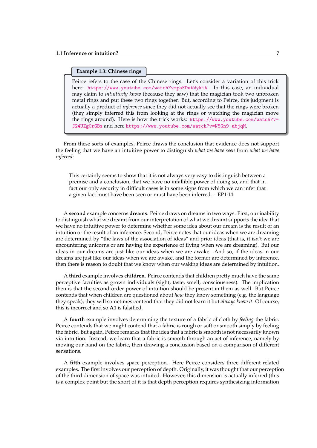#### **Example 1.3: Chinese rings**

Peirce refers to the case of the Chinese rings. Let's consider a variation of this trick here: <https://www.youtube.com/watch?v=paKDutWykiA>. In this case, an individual may claim to *intuitively know* (because they saw) that the magician took two unbroken metal rings and put these two rings together. But, according to Peirce, this judgment is actually a product of *inference* since they did not actually see that the rings were broken (they simply inferred this from looking at the rings or watching the magician move the rings around). Here is how the trick works: [https://www.youtube.com/watch?v=](https://www.youtube.com/watch?v=J24UZg0rGBs) [J24UZg0rGBs](https://www.youtube.com/watch?v=J24UZg0rGBs) and here <https://www.youtube.com/watch?v=N5Gn9-abjqM>.

From these sorts of examples, Peirce draws the conclusion that evidence does not support the feeling that we have an intuitive power to distinguish *what we have seen* from *what we have inferred*:

This certainly seems to show that it is not always very easy to distinguish between a premise and a conclusion, that we have no infallible power of doing so, and that in fact our only security in difficult cases is in some signs from which we can infer that a given fact must have been seen or must have been inferred. – EP1:14

A **second** example concerns **dreams**. Peirce draws on dreams in two ways. First, our inability to distinguish what we dreamt from our interpretation of what we dreamt supports the idea that we have no intuitive power to determine whether some idea about our dream is the result of an intuition or the result of an inference. Second, Peirce notes that our ideas when we are dreaming are determined by "the laws of the association of ideas" and prior ideas (that is, it isn't we are encountering unicorns or are having the experience of flying when we are dreaming). But our ideas in our dreams are just like our ideas when we are awake. And so, if the ideas in our dreams are just like our ideas when we are awake, and the former are determined by inference, then there is reason to doubt that we know when our waking ideas are determined by intuition.

A **third** example involves **children**. Peirce contends that children pretty much have the same perceptive faculties as grown individuals (sight, taste, smell, consciousness). The implication then is that the second-order power of intuition should be present in them as well. But Peirce contends that when children are questioned about *how* they know something (e.g. the language they speak), they will sometimes contend that they did not learn it but *always knew it*. Of course, this is incorrect and so **A1** is falsified.

A **fourth** example involves determining the texture of a fabric of cloth by *feeling* the fabric. Peirce contends that we might contend that a fabric is rough or soft or smooth simply by feeling the fabric. But again, Peirce remarks that the idea that a fabric is smooth is not necessarily known via intuition. Instead, we learn that a fabric is smooth through an act of inference, namely by moving our hand on the fabric, then drawing a conclusion based on a comparison of different sensations.

A **fifth** example involves space perception. Here Peirce considers three different related examples. The first involves our perception of depth. Originally, it was thought that our perception of the third dimension of space was intuited. However, this dimension is actually inferred (this is a complex point but the short of it is that depth perception requires synthesizing information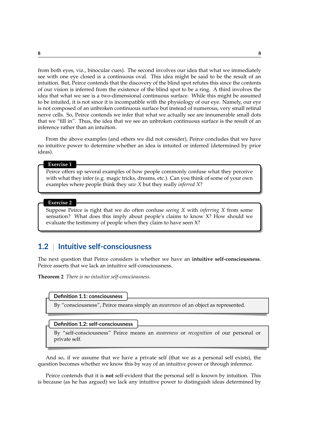from both eyes, viz., binocular cues). The second involves our idea that what we immediately see with one eye closed is a continuous oval. This idea might be said to be the result of an intuition. But, Peirce contends that the discovery of the blind spot refutes this since the contents of our vision is inferred from the existence of the blind spot to be a ring. A third involves the idea that what we see is a two-dimensional continuous surface. While this might be assumed to be intuited, it is not since it is incompatible with the physiology of our eye. Namely, our eye is not composed of an unbroken continuous surface but instead of numerous, very small retinal nerve cells. So, Peirce contends we infer that what we actually see are innumerable small dots that we "fill in". Thus, the idea that we see an unbroken continuous surface is the result of an inference rather than an intuition.

From the above examples (and others we did not consider), Peirce concludes that we have no intuitive power to determine whether an idea is intuited or inferred (determined by prior ideas).

#### **Exercise 1**

Peirce offers up several examples of how people commonly confuse what they perceive with what they infer (e.g. magic tricks, dreams, etc.). Can you think of some of your own examples where people think they *saw X* but they really *inferred X*?

#### **Exercise 2**

Suppose Peirce is right that we do often confuse *seeing X* with *inferring X* from some sensation? What does this imply about people's claims to know X? How should we evaluate the testimony of people when they claim to have seen X?

### **1.2** | **Intuitive self-consciousness**

The next question that Peirce considers is whether we have an **intuitive self-consciousness**. Peirce asserts that we lack an intuitive self-consciousness.

<span id="page-7-0"></span>**Theorem 2** *There is no intuitive self-consciousness.*



By "consciousness", Peirce means simply an *awareness* of an object as represented.

### **Definition 1.2: self-consciousness**

By "self-consciousness" Peirce means an *awareness* or *recognition* of our personal or private self.

And so, if we assume that we have a private self (that we as a personal self exists), the question becomes whether we know this by way of an intuitive power or through inference.

Peirce contends that it is **not** self-evident that the personal self is known by intuition. This is because (as he has argued) we lack any intuitive power to distinguish ideas determined by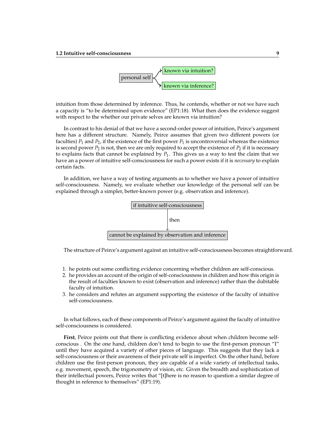

intuition from those determined by inference. Thus, he contends, whether or not we have such a capacity is "to be determined upon evidence" (EP1:18). What then does the evidence suggest with respect to the whether our private selves are known via intuition?

In contrast to his denial of that we have a second-order power of intuition, Peirce's argument here has a different structure. Namely, Peirce assumes that given two different powers (or faculties)  $P_1$  and  $P_2$ , if the existence of the first power  $P_1$  is uncontroversial whereas the existence is second power  $P_2$  is not, then we are only required to accept the existence of  $P_2$  if it is necessary to explains facts that cannot be explained by  $P_1$ . This gives us a way to test the claim that we have an a power of intuitive self-consciousness for such a power exists if it is *necessary* to explain certain facts.

In addition, we have a way of testing arguments as to whether we have a power of intuitive self-consciousness. Namely, we evaluate whether our knowledge of the personal self can be explained through a simpler, better-known power (e.g. observation and inference).



The structure of Peirce's argument against an intuitive self-consciousness becomes straightforward.

- 1. he points out some conflicting evidence concerning whether children are self-conscious.
- 2. he provides an account of the origin of self-consciousness in children and how this origin is the result of faculties known to exist (observation and inference) rather than the dubitable faculty of intuition.
- 3. he considers and refutes an argument supporting the existence of the faculty of intuitive self-consciousness.

In what follows, each of these components of Peirce's argument against the faculty of intuitive self-consciousness is considered.

**First**, Peirce points out that there is conflicting evidence about when children become selfconscious . On the one hand, children don't tend to begin to use the first-person pronoun "I" until they have acquired a variety of other pieces of language. This suggests that they lack a self-consciousness or their awareness of their private self is imperfect. On the other hand, before children use the first-person pronoun, they are capable of a wide variety of intellectual tasks, e.g. movement, speech, the trigonometry of vision, etc. Given the breadth and sophistication of their intellectual powers, Peirce writes that "[t]here is no reason to question a similar degree of thought in reference to themselves" (EP1:19).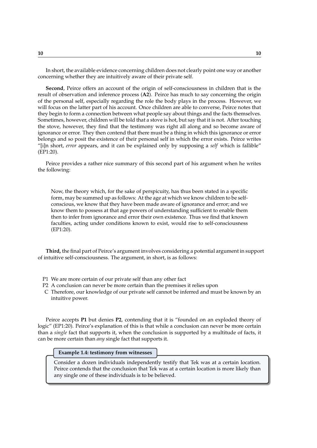In short, the available evidence concerning children does not clearly point one way or another concerning whether they are intuitively aware of their private self.

**Second**, Peirce offers an account of the origin of self-consciousness in children that is the result of observation and inference process (**A2**). Peirce has much to say concerning the origin of the personal self, especially regarding the role the body plays in the process. However, we will focus on the latter part of his account. Once children are able to converse, Peirce notes that they begin to form a connection between what people say about things and the facts themselves. Sometimes, however, children will be told that a stove is hot, but say that it is not. After touching the stove, however, they find that the testimony was right all along and so become aware of ignorance or error. They then contend that there must be a thing in which this ignorance or error belongs and so posit the existence of their personal self in which the error exists. Peirce writes "[i]n short, *error* appears, and it can be explained only by supposing a *self* which is fallible" (EP1:20).

Peirce provides a rather nice summary of this second part of his argument when he writes the following:

Now, the theory which, for the sake of perspicuity, has thus been stated in a specific form, may be summed up as follows: At the age at which we know children to be selfconscious, we know that they have been made aware of ignorance and error; and we know them to possess at that age powers of understanding sufficient to enable them then to infer from ignorance and error their own existence. Thus we find that known faculties, acting under conditions known to exist, would rise to self-consciousness (EP1:20).

**Third,** the final part of Peirce's argument involves considering a potential argument in support of intuitive self-consciousness. The argument, in short, is as follows:

- P1 We are more certain of our private self than any other fact
- P2 A conclusion can never be more certain than the premises it relies upon
- C Therefore, our knowledge of our private self cannot be inferred and must be known by an intuitive power.

Peirce accepts **P1** but denies **P2**, contending that it is "founded on an exploded theory of logic" (EP1:20). Peirce's explanation of this is that while a conclusion can never be more certain than a *single* fact that supports it, when the conclusion is supported by a multitude of facts, it can be more certain than *any* single fact that supports it.

#### **Example 1.4: testimony from witnesses**

Consider a dozen individuals independently testify that Tek was at a certain location. Peirce contends that the conclusion that Tek was at a certain location is more likely than any single one of these individuals is to be believed.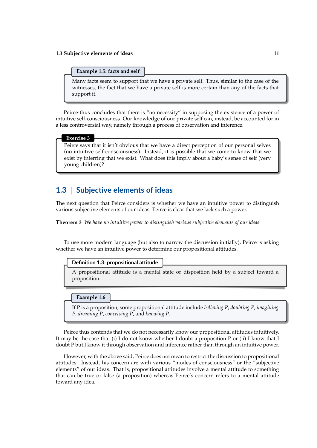#### **Example 1.5: facts and self**

Many facts seem to support that we have a private self. Thus, similar to the case of the witnesses, the fact that we have a private self is more certain than any of the facts that support it.

Peirce thus concludes that there is "no necessity" in supposing the existence of a power of intuitive self-consciousness. Our knowledge of our private self can, instead, be accounted for in a less controversial way, namely through a process of observation and inference.

#### **Exercise 3**

Peirce says that it isn't obvious that we have a direct perception of our personal selves (no intuitive self-consciousness). Instead, it is possible that we come to know that we exist by inferring that we exist. What does this imply about a baby's sense of self (very young children)?

## **1.3** | **Subjective elements of ideas**

The next question that Peirce considers is whether we have an intuitive power to distinguish various subjective elements of our ideas. Peirce is clear that we lack such a power.

<span id="page-10-0"></span>**Theorem 3** *We have no intuitive power to distinguish various subjective elements of our ideas*

To use more modern language (but also to narrow the discussion initially), Peirce is asking whether we have an intuitive power to determine our propositional attitudes.

#### **Definition 1.3: propositional attitude**

A propositional attitude is a mental state or disposition held by a subject toward a proposition.

#### **Example 1.6**

If **P** is a proposition, some propositional attitude include *believing P*, *doubting P*, *imagining P*, *dreaming P*, *conceiving P*, and *knowing P*.

Peirce thus contends that we do not necessarily know our propositional attitudes intuitively. It may be the case that (i) I do not know whether I doubt a proposition P or (ii) I know that I doubt P but I know it through observation and inference rather than through an intuitive power.

However, with the above said, Peirce does not mean to restrict the discussion to propositional attitudes. Instead, his concern are with various "modes of consciousness" or the "subjective elements" of our ideas. That is, propositional attitudes involve a mental attitude to something that can be true or false (a proposition) whereas Peirce's concern refers to a mental attitude toward any idea.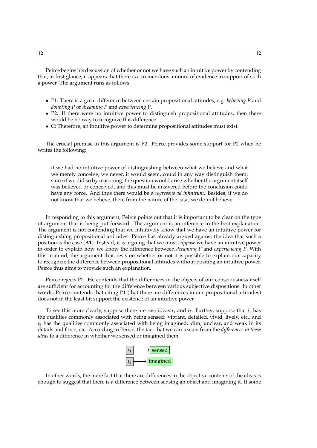Peirce begins his discussion of whether or not we have such an intuitive power by contending that, at first glance, it appears that there is a tremendous amount of evidence in support of such a power. The argument runs as follows:

- P1: There is a great difference between certain propositional attitudes, e.g. *believing P* and *doubting P* or *dreaming P* and *experiencing P*.
- P2: If there were no intuitive power to distinguish propositional attitudes, then there would be no way to recognize this difference.
- C: Therefore, an intuitive power to determine propositional attitudes must exist.

The crucial premise in this argument is P2. Peirce provides some support for P2 when he writes the following:

if we had no intuitive power of distinguishing between what we believe and what we merely conceive, we never, it would seem, could in any way distinguish them; since if we did so by reasoning, the question would arise whether the argument itself was believed or conceived, and this must be answered before the conclusion could have any force. And thus there would be a *regressus ad infinitum*. Besides, if we do not know that we believe, then, from the nature of the case, we do not believe.

In responding to this argument, Peirce points out that it is important to be clear on the type of argument that is being put forward. The argument is an inference to the best explanation. The argument is not contending that we intuitively know that we have an intuitive power for distinguishing propositional attitudes. Peirce has already argued against the idea that such a position is the case (**A1**). Instead, it is arguing that we must *suppose* we have an intuitive power in order to explain how we know the difference between *dreaming P* and *experiencing P*. With this in mind, the argument thus rests on whether or not it is possible to explain our capacity to recognize the difference between propositional attitudes without positing an intuitive power. Peirce thus aims to provide such an explanation.

Peirce rejects P2. He contends that the differences in the objects of our consciousness itself are sufficient for accounting for the difference between various subjective dispositions. In other words, Peirce contends that citing P1 (that there are differences in our propositional attitudes) does not in the least bit support the existence of an intuitive power.

To see this more clearly, suppose there are two ideas  $i_1$  and  $i_2$ . Further, suppose that  $i_1$  has the qualities commonly associated with being sensed: vibrant, detailed, vivid, lively, etc., and  $i<sub>2</sub>$  has the qualities commonly associated with being imagined: dim, unclear, and weak in its details and force, etc. According to Peirce, the fact that we can reason from the *differences in these ideas* to a difference in whether we sensed or imagined them.



In other words, the mere fact that there are differences in the objective contents of the ideas is enough to suggest that there is a difference between sensing an object and imagining it. If some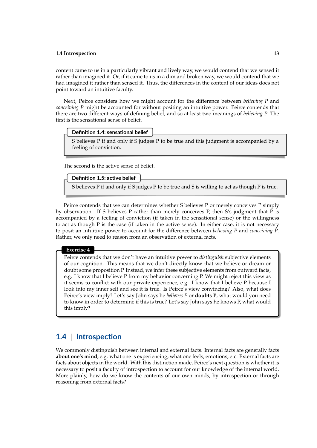content came to us in a particularly vibrant and lively way, we would contend that we sensed it rather than imagined it. Or, if it came to us in a dim and broken way, we would contend that we had imagined it rather than sensed it. Thus, the differences in the content of our ideas does not point toward an intuitive faculty.

Next, Peirce considers how we might account for the difference between *believing P* and *conceiving P* might be accounted for without positing an intuitive power. Peirce contends that there are two different ways of defining belief, and so at least two meanings of *believing P*. The first is the sensational sense of belief.

#### **Definition 1.4: sensational belief**

S believes P if and only if S judges P to be true and this judgment is accompanied by a feeling of conviction.

The second is the active sense of belief.

### **Definition 1.5: active belief**

S believes P if and only if S judges P to be true and S is willing to act as though P is true.

Peirce contends that we can determines whether S believes P or merely conceives P simply by observation. If S believes P rather than merely conceives P, then S's judgment that P is accompanied by a feeling of conviction (if taken in the sensational sense) or the willingness to act as though P is the case (if taken in the active sense). In either case, it is not necessary to posit an intuitive power to account for the difference between *believing P* and *conceiving P*. Rather, we only need to reason from an observation of external facts.

#### **Exercise 4**

Peirce contends that we don't have an intuitive power to *distinguish* subjective elements of our cognition. This means that we don't directly know that we believe or dream or doubt some proposition P. Instead, we infer these subjective elements from outward facts, e.g. I know that I believe P from my behavior concerning P. We might reject this view as it seems to conflict with our private experience, e.g. I know that I believe P because I look into my inner self and see it is true. Is Peirce's view convincing? Also, what does Peirce's view imply? Let's say John says he *believes P* or **doubts P**, what would you need to know in order to determine if this is true? Let's say John says he knows P, what would this imply?

# **1.4** | **Introspection**

We commonly distinguish between internal and external facts. Internal facts are generally facts **about one's mind**, e.g. what one is experiencing, what one feels, emotions, etc. External facts are facts about objects in the world. With this distinction made, Peirce's next question is whether it is necessary to posit a faculty of introspection to account for our knowledge of the internal world. More plainly, how do we know the contents of our own minds, by introspection or through reasoning from external facts?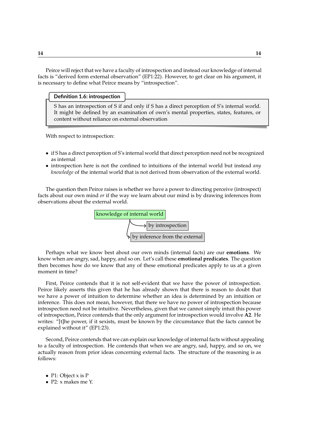Peirce will reject that we have a faculty of introspection and instead our knowledge of internal facts is "derived form external observation" (EP1:22). However, to get clear on his argument, it is necessary to define what Peirce means by "introspection".

**Definition 1.6: introspection**

S has an introspection of S if and only if S has a direct perception of S's internal world. It might be defined by an examination of own's mental properties, states, features, or content without reliance on external observation

With respect to introspection:

- if S has a direct perception of S's internal world that direct perception need not be recognized as internal
- introspection here is not the confined to intuitions of the internal world but instead *any knowledge* of the internal world that is not derived from observation of the external world.

The question then Peirce raises is whether we have a power to directing perceive (introspect) facts about our own mind *or* if the way we learn about our mind is by drawing inferences from observations about the external world.



Perhaps what we know best about our own minds (internal facts) are our **emotions**. We know when are angry, sad, happy, and so on. Let's call these **emotional predicates**. The question then becomes how do we know that any of these emotional predicates apply to us at a given moment in time?

First, Peirce contends that it is not self-evident that we have the power of introspection. Peirce likely asserts this given that he has already shown that there is reason to doubt that we have a power of intuition to determine whether an idea is determined by an intuition or inference. This does not mean, however, that there we have no power of introspection because introspection need not be intuitive. Nevertheless, given that we cannot simply intuit this power of introspection, Peirce contends that the only argument for introspection would involve **A2**. He writes: "[t]he power, if it sexists, must be known by the circumstance that the facts cannot be explained without it" (EP1:23).

Second, Peirce contends that we can explain our knowledge of internal facts without appealing to a faculty of introspection. He contends that when we are angry, sad, happy, and so on, we actually reason from prior ideas concerning external facts. The structure of the reasoning is as follows:

- P1: Object x is P
- P2: x makes me Y.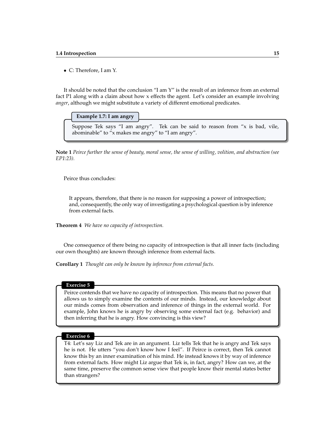• C: Therefore, I am Y.

It should be noted that the conclusion "I am Y" is the result of an inference from an external fact P1 along with a claim about how x effects the agent. Let's consider an example involving *anger*, although we might substitute a variety of different emotional predicates.

#### **Example 1.7: I am angry**

Suppose Tek says "I am angry". Tek can be said to reason from "x is bad, vile, abominable" to "x makes me angry" to "I am angry".

**Note 1** *Peirce further the sense of beauty, moral sense, the sense of willing, volition, and abstraction (see EP1:23).*

Peirce thus concludes:

It appears, therefore, that there is no reason for supposing a power of introspection; and, consequently, the only way of investigating a psychological question is by inference from external facts.

<span id="page-14-0"></span>**Theorem 4** *We have no capacity of introspection.*

One consequence of there being no capacity of introspection is that all inner facts (including our own thoughts) are known through inference from external facts.

<span id="page-14-1"></span>**Corollary 1** *Thought can only be known by inference from external facts.*

#### **Exercise 5**

Peirce contends that we have no capacity of introspection. This means that no power that allows us to simply examine the contents of our minds. Instead, our knowledge about our minds comes from observation and inference of things in the external world. For example, John knows he is angry by observing some external fact (e.g. behavior) and then inferring that he is angry. How convincing is this view?

#### **Exercise 6**

T4: Let's say Liz and Tek are in an argument. Liz tells Tek that he is angry and Tek says he is not. He utters "you don't know how I feel". If Peirce is correct, then Tek cannot know this by an inner examination of his mind. He instead knows it by way of inference from external facts. How might Liz argue that Tek is, in fact, angry? How can we, at the same time, preserve the common sense view that people know their mental states better than strangers?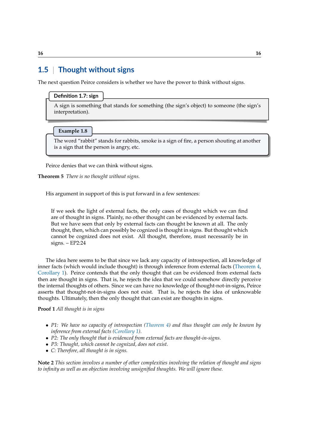# **1.5** | **Thought without signs**

The next question Peirce considers is whether we have the power to think without signs.

#### **Definition 1.7: sign**

A sign is something that stands for something (the sign's object) to someone (the sign's interpretation).

**Example 1.8**

The word "rabbit" stands for rabbits, smoke is a sign of fire, a person shouting at another is a sign that the person is angry, etc.

Peirce denies that we can think without signs.

<span id="page-15-0"></span>**Theorem 5** *There is no thought without signs.*

His argument in support of this is put forward in a few sentences:

If we seek the light of external facts, the only cases of thought which we can find are of thought in signs. Plainly, no other thought can be evidenced by external facts. But we have seen that only by external facts can thought be known at all. The only thought, then, which can possibly be cognized is thought in signs. But thought which cannot be cognized does not exist. All thought, therefore, must necessarily be in signs. – EP2:24

The idea here seems to be that since we lack any capacity of introspection, all knowledge of inner facts (which would include thought) is through inference from external facts [\(Theorem 4,](#page-14-0) [Corollary 1\)](#page-14-1). Peirce contends that the only thought that can be evidenced from external facts then are thought in signs. That is, he rejects the idea that we could somehow directly perceive the internal thoughts of others. Since we can have no knowledge of thought-not-in-signs, Peirce asserts that thought-not-in-signs does not exist. That is, he rejects the idea of unknowable thoughts. Ultimately, then the only thought that can exist are thoughts in signs.

**Proof 1** *All thought is in signs*

- *P1: We have no capacity of introspection [\(Theorem 4\)](#page-14-0) and thus thought can only be known by inference from external facts [\(Corollary 1\)](#page-14-1).*
- *P2: The only thought that is evidenced from external facts are thought-in-signs.*
- *P3: Thought, which cannot be cognized, does not exist.*
- *C: Therefore, all thought is in signs.*

**Note 2** *This section involves a number of other complexities involving the relation of thought and signs to infinity as well as an objection involving unsignified thoughts. We will ignore these.*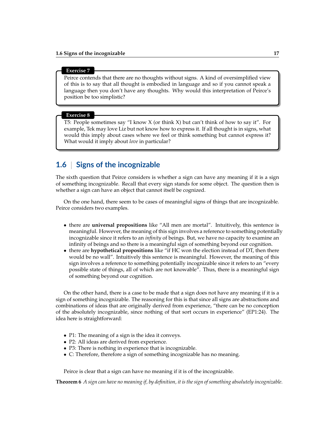#### **Exercise 7**

Peirce contends that there are no thoughts without signs. A kind of oversimplified view of this is to say that all thought is embodied in language and so if you cannot speak a language then you don't have any thoughts. Why would this interpretation of Peirce's position be too simplistic?

#### **Exercise 8**

T5: People sometimes say "I know X (or think X) but can't think of how to say it". For example, Tek may love Liz but not know how to express it. If all thought is in signs, what would this imply about cases where we feel or think something but cannot express it? What would it imply about *love* in particular?

### **1.6** | **Signs of the incognizable**

The sixth question that Peirce considers is whether a sign can have any meaning if it is a sign of something incognizable. Recall that every sign stands for some object. The question then is whether a sign can have an object that cannot itself be cognized.

On the one hand, there seem to be cases of meaningful signs of things that are incognizable. Peirce considers two examples.

- there are **universal propositions** like "All men are mortal". Intuitively, this sentence is meaningful. However, the meaning of this sign involves a reference to something potentially incognizable since it refers to an *infinity* of beings. But, we have no capacity to examine an infinity of beings and so there is a meaningful sign of something beyond our cognition.
- there are **hypothetical propositions** like "if HC won the election instead of DT, then there would be no wall". Intuitively this sentence is meaningful. However, the meaning of this sign involves a reference to something potentially incognizable since it refers to an "every possible state of things, all of which are not knowable". Thus, there is a meaningful sign of something beyond our cognition.

On the other hand, there is a case to be made that a sign does not have any meaning if it is a sign of something incognizable. The reasoning for this is that since all signs are abstractions and combinations of ideas that are originally derived from experience, "there can be no conception of the absolutely incognizable, since nothing of that sort occurs in experience" (EP1:24). The idea here is straightforward:

- P1: The meaning of a sign is the idea it conveys.
- P2: All ideas are derived from experience.
- P3: There is nothing in experience that is incognizable.
- C: Therefore, therefore a sign of something incognizable has no meaning.

Peirce is clear that a sign can have no meaning if it is of the incognizable.

<span id="page-16-0"></span>**Theorem 6** *A sign can have no meaning if, by definition, it is the sign of something absolutely incognizable.*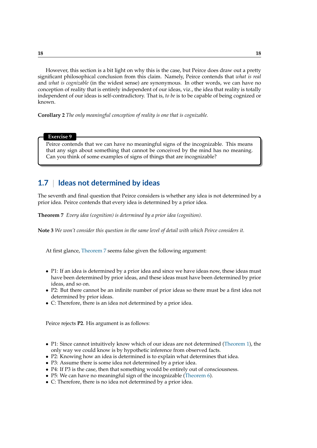However, this section is a bit light on why this is the case, but Peirce does draw out a pretty significant philosophical conclusion from this claim. Namely, Peirce contends that *what is real* and *what is cognizable* (in the widest sense) are synonymous. In other words, we can have no conception of reality that is entirely independent of our ideas, viz., the idea that reality is totally independent of our ideas is self-contradictory. That is, *to be* is to be capable of being cognized or known.

**Corollary 2** *The only meaningful conception of reality is one that is cognizable.*

#### **Exercise 9**

Peirce contends that we can have no meaningful signs of the incognizable. This means that any sign about something that cannot be conceived by the mind has no meaning. Can you think of some examples of signs of things that are incognizable?

## **1.7** | **Ideas not determined by ideas**

The seventh and final question that Peirce considers is whether any idea is not determined by a prior idea. Peirce contends that every idea is determined by a prior idea.

<span id="page-17-0"></span>**Theorem 7** *Every idea (cognition) is determined by a prior idea (cognition).*

**Note 3** *We won't consider this question in the same level of detail with which Peirce considers it.*

At first glance, [Theorem 7](#page-17-0) seems false given the following argument:

- P1: If an idea is determined by a prior idea and since we have ideas now, these ideas must have been determined by prior ideas, and these ideas must have been determined by prior ideas, and so on.
- P2: But there cannot be an infinite number of prior ideas so there must be a first idea not determined by prior ideas.
- C: Therefore, there is an idea not determined by a prior idea.

Peirce rejects **P2**. His argument is as follows:

- P1: Since cannot intuitively know which of our ideas are not determined [\(Theorem 1\)](#page-5-0), the only way we could know is by hypothetic inference from observed facts.
- P2: Knowing how an idea is determined is to explain what determines that idea.
- P3: Assume there is some idea not determined by a prior idea.
- P4: If P3 is the case, then that something would be entirely out of consciousness.
- P5: We can have no meaningful sign of the incognizable [\(Theorem 6\)](#page-16-0).
- C: Therefore, there is no idea not determined by a prior idea.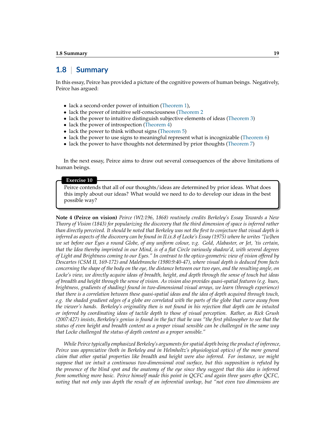### **1.8** | **Summary**

In this essay, Peirce has provided a picture of the cognitive powers of human beings. Negatively, Peirce has argued:

- lack a second-order power of intuition [\(Theorem 1\)](#page-5-0),
- lack the power of intuitive self-consciousness [\(Theorem 2](#page-7-0)
- lack the power to intuitive distinguish subjective elements of ideas [\(Theorem 3\)](#page-10-0)
- lack the power of introspection [\(Theorem 4\)](#page-14-0)
- lack the power to think without signs [\(Theorem 5\)](#page-15-0)
- lack the power to use signs to meaningful represent what is incognizable [\(Theorem 6\)](#page-16-0)
- lack the power to have thoughts not determined by prior thoughts [\(Theorem 7\)](#page-17-0)

In the next essay, Peirce aims to draw out several consequences of the above limitations of human beings.

#### **Exercise 10**

Peirce contends that all of our thoughts/ideas are determined by prior ideas. What does this imply about our ideas? What would we need to do to develop our ideas in the best possible way?

**Note 4 (Peirce on vision)** *Peirce (W2:196, 1868) routinely credits Berkeley's Essay Towards a New Theory of Vision (1843) for popularizing the discovery that the third dimension of space is inferred rather than directly perceived. It should be noted that Berkeley was not the first to conjecture that visual depth is inferred as aspects of the discovery can be found in II.ix.8 of Locke's Essay (1975) where he writes "[w]hen we set before our Eyes a round Globe, of any uniform colour, v.g. Gold, Alabaster, or Jet, 'tis certain, that the Idea thereby imprinted in our Mind, is of a flat Circle variously shadow'd, with several degrees of Light and Brightness coming to our Eyes." In contrast to the optico-geometric view of vision offered by Descartes (CSM II, 169-172) and Malebranche (1980:9:40-47), where visual depth is deduced from facts concerning the shape of the body on the eye, the distance between our two eyes, and the resulting angle, on Locke's view, we directly acquire ideas of breadth, height, and depth through the sense of touch but ideas of breadth and height through the sense of vision. As vision also provides quasi-spatial features (e.g. hues, brightness, gradients of shading) found in two-dimensional visual arrays, we learn (through experience) that there is a correlation between these quasi-spatial ideas and the idea of depth acquired through touch, e.g. the shaded gradient edges of a globe are correlated with the parts of the globe that curve away from the viewer's hands. Berkeley's originality then is not found in his rejection that depth can be intuited or inferred by coordinating ideas of tactile depth to those of visual perception. Rather, as Rick Grush (2007:427) insists, Berkeley's genius is found in the fact that he was "the first philosopher to see that the status of even height and breadth content as a proper visual sensible can be challenged in the same way that Locke challenged the status of depth content as a proper sensible."*

*While Peirce typically emphasized Berkeley's arguments for spatial depth being the product of inference, Peirce was appreciative (both in Berkeley and in Helmholtz's physiological optics) of the more general claim that other spatial properties like breadth and height were also inferred. For instance, we might suppose that we intuit a continuous two-dimensional oval surface, but this supposition is refuted by the presence of the blind spot and the anatomy of the eye since they suggest that this idea is inferred from something more basic. Peirce himself made this point in QCFC and again three years after QCFC, noting that not only was depth the result of an inferential workup, but "not even two dimensions are*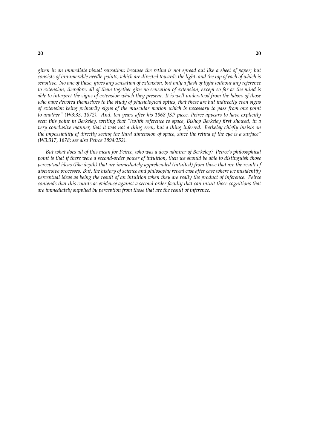*given in an immediate visual sensation; because the retina is not spread out like a sheet of paper; but consists of innumerable needle-points, which are directed towards the light, and the top of each of which is sensitive. No one of these, gives any sensation of extension, but only a flash of light without any reference to extension; therefore, all of them together give no sensation of extension, except so far as the mind is able to interpret the signs of extension which they present. It is well understood from the labors of those who have devoted themselves to the study of physiological optics, that these are but indirectly even signs of extension being primarily signs of the muscular motion which is necessary to pass from one point to another" (W3:33, 1872). And, ten years after his 1868 JSP piece, Peirce appears to have explicitly seen this point in Berkeley, writing that "[w]ith reference to space, Bishop Berkeley first showed, in a very conclusive manner, that it was not a thing seen, but a thing inferred. Berkeley chiefly insists on the impossibility of directly seeing the third dimension of space, since the retina of the eye is a surface" (W3:317, 1878; see also Peirce 1894:252).*

*But what does all of this mean for Peirce, who was a deep admirer of Berkeley? Peirce's philosophical point is that if there were a second-order power of intuition, then we should be able to distinguish those perceptual ideas (like depth) that are immediately apprehended (intuited) from those that are the result of discursive processes. But, the history of science and philosophy reveal case after case where we misidentify perceptual ideas as being the result of an intuition when they are really the product of inference. Peirce contends that this counts as evidence against a second-order faculty that can intuit those cognitions that are immediately supplied by perception from those that are the result of inference.*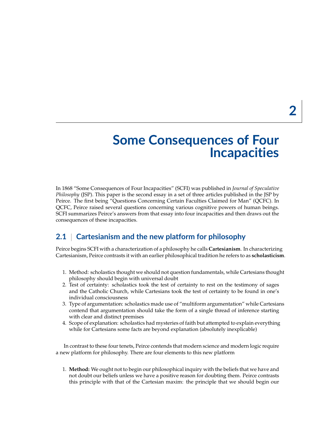# **Some Consequences of Four Incapacities**

In 1868 "Some Consequences of Four Incapacities" (SCFI) was published in *Journal of Speculative Philosophy* (JSP). This paper is the second essay in a set of three articles published in the JSP by Peirce. The first being "Questions Concerning Certain Faculties Claimed for Man" (QCFC). In QCFC, Peirce raised several questions concerning various cognitive powers of human beings. SCFI summarizes Peirce's answers from that essay into four incapacities and then draws out the consequences of these incapacities.

# **2.1** | **Cartesianism and the new platform for philosophy**

Peirce begins SCFI with a characterization of a philosophy he calls **Cartesianism**. In characterizing Cartesianism, Peirce contrasts it with an earlier philosophical tradition he refers to as **scholasticism**.

- 1. Method: scholastics thought we should not question fundamentals, while Cartesians thought philosophy should begin with universal doubt
- 2. Test of certainty: scholastics took the test of certainty to rest on the testimony of sages and the Catholic Church, while Cartesians took the test of certainty to be found in one's individual consciousness
- 3. Type of argumentation: scholastics made use of "multiform argumentation" while Cartesians contend that argumentation should take the form of a single thread of inference starting with clear and distinct premises
- 4. Scope of explanation: scholastics had mysteries of faith but attempted to explain everything while for Cartesians some facts are beyond explanation (absolutely inexplicable)

In contrast to these four tenets, Peirce contends that modern science and modern logic require a new platform for philosophy. There are four elements to this new platform

1. **Method:** We ought not to begin our philosophical inquiry with the beliefs that we have and not doubt our beliefs unless we have a positive reason for doubting them. Peirce contrasts this principle with that of the Cartesian maxim: the principle that we should begin our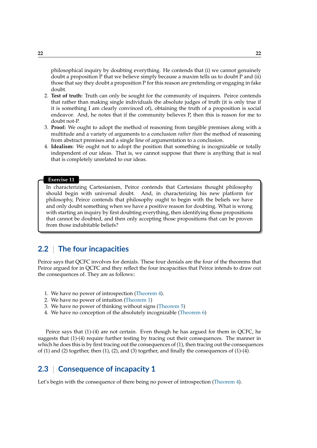philosophical inquiry by doubting everything. He contends that (i) we cannot genuinely doubt a proposition P that we believe simply because a maxim tells us to doubt P and (ii) those that say they doubt a proposition P for this reason are pretending or engaging in fake doubt.

- 2. **Test of truth:** Truth can only be sought for the community of inquirers. Peirce contends that rather than making single individuals the absolute judges of truth (it is only true if it is something I am clearly convinced of), obtaining the truth of a proposition is social endeavor. And, he notes that if the community believes P, then this is reason for me to doubt not-P.
- 3. **Proof:** We ought to adopt the method of reasoning from tangible premises along with a multitude and a variety of arguments to a conclusion *rather than* the method of reasoning from abstract premises and a single line of argumentation to a conclusion.
- 4. **Idealism:** We ought not to adopt the position that something is incognizable or totally independent of our ideas. That is, we cannot suppose that there is anything that is real that is completely unrelated to our ideas.

#### **Exercise 11**

In characterizing Cartesianism, Peirce contends that Cartesians thought philosophy should begin with universal doubt. And, in characterizing his new platform for philosophy, Peirce contends that philosophy ought to begin with the beliefs we have and only doubt something when we have a positive reason for doubting. What is wrong with starting an inquiry by first doubting everything, then identifying those propositions that cannot be doubted, and then only accepting those propositions that can be proven from those indubitable beliefs?

### **2.2** | **The four incapacities**

Peirce says that QCFC involves for denials. These four denials are the four of the theorems that Peirce argued for in QCFC and they reflect the four incapacities that Peirce intends to draw out the consequences of. They are as follows::

- 1. We have no power of introspection [\(Theorem 4\)](#page-14-0).
- 2. We have no power of intuition [\(Theorem 1\)](#page-5-0)
- 3. We have no power of thinking without signs [\(Theorem 5\)](#page-15-0)
- 4. We have no conception of the absolutely incognizable [\(Theorem 6\)](#page-16-0)

Peirce says that (1)-(4) are not certain. Even though he has argued for them in QCFC, he suggests that (1)-(4) require further testing by tracing out their consequences. The manner in which he does this is by first tracing out the consequences of (1), then tracing out the consequences of (1) and (2) together, then (1), (2), and (3) together, and finally the consequences of (1)-(4).

### **2.3** | **Consequence of incapacity 1**

Let's begin with the consequence of there being no power of introspection [\(Theorem 4\)](#page-14-0).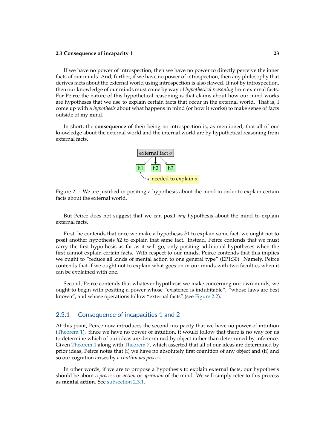If we have no power of introspection, then we have no power to directly perceive the inner facts of our minds. And, further, if we have no power of introspection, then any philosophy that derives facts about the external world using introspection is also flawed. If not by introspection, then our knowledge of our minds must come by way of *hypothetical reasoning* from external facts. For Peirce the nature of this hypothetical reasoning is that claims about how our mind works are hypotheses that we use to explain certain facts that occur in the external world. That is, I come up with a *hypothesis* about what happens in mind (or how it works) to make sense of facts outside of my mind.

In short, the **consequence** of their being no introspection is, as mentioned, that all of our knowledge about the external world and the internal world are by hypothetical reasoning from external facts.



Figure 2.1: We are justified in positing a hypothesis about the mind in order to explain certain facts about the external world.

But Peirce does not suggest that we can posit *any* hypothesis about the mind to explain external facts.

First, he contends that once we make a hypothesis *h*1 to explain some fact, we ought not to posit another hypothesis *h*2 to explain that same fact. Instead, Peirce contends that we must carry the first hypothesis as far as it will go, only positing additional hypotheses when the first cannot explain certain facts. With respect to our minds, Peirce contends that this implies we ought to "reduce all kinds of mental action to one general type" (EP1:30). Namely, Peirce contends that if we ought not to explain what goes on in our minds with two faculties when it can be explained with one.

Second, Peirce contends that whatever hypothesis we make concerning our own minds, we ought to begin with positing a power whose "existence is indubitable", "whose laws are best known", and whose operations follow "external facts" (see [Figure 2.2\)](#page-23-0).

### <span id="page-22-0"></span>2.3.1 | Consequence of incapacities 1 and 2

At this point, Peirce now introduces the second incapacity that we have no power of intuition [\(Theorem 1\)](#page-5-0). Since we have no power of intuition, it would follow that there is no way for us to determine which of our ideas are determined by object rather than determined by inference. Given [Theorem 1](#page-5-0) along with [Theorem 7,](#page-17-0) which asserted that all of our ideas are determined by prior ideas, Peirce notes that (i) we have no absolutely first cognition of any object and (ii) and so our cognition arises by a *continuous process*.

In other words, if we are to propose a hypothesis to explain external facts, our hypothesis should be about a *process* or *action* or *operation* of the mind. We will simply refer to this process as **mental action**. See [subsection 2.3.1.](#page-22-0)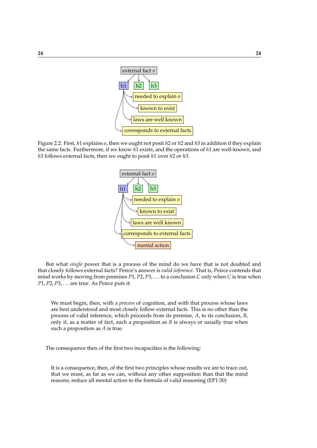

<span id="page-23-0"></span>Figure 2.2: First, *h*1 explains *o*, then we ought not posit *h*2 or *h*2 and *h*3 in addition if they explain the same facts. Furthermore, if we know *h*1 exists, and the operations of *h*1 are well-known, and *h*3 follows external facts, then we ought to posit *h*1 over *h*2 or *h*3.



But what *single* power that is a process of the mind do we have that is not doubted and that closely follows external facts? Peirce's answer is *valid inference*. That is, Peirce contends that mind works by moving from premises *P*1, *P*2, *P*3, . . . to a conclusion *C* only when *C* is true when *P*1, *P*2, *P*3, . . . are true. As Peirce puts it:

We must begin, then, with a *process* of cognition, and with that process whose laws are best understood and most closely follow external facts. This is no other than the process of valid inference, which proceeds from its premise, *A*, to its conclusion, *B*, only if, as a matter of fact, such a proposition as *B* is always or usually true when such a proposition as *A* is true.

The consequence then of the first two incapacities is the following:

It is a consequence, then, of the first two principles whose results we are to trace out, that we must, as far as we can, without any other supposition than that the mind reasons, reduce all mental action to the formula of valid reasoning (EP1:30)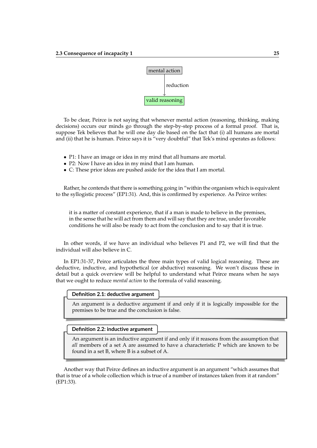

To be clear, Peirce is not saying that whenever mental action (reasoning, thinking, making decisions) occurs our minds go through the step-by-step process of a formal proof. That is, suppose Tek believes that he will one day die based on the fact that (i) all humans are mortal and (ii) that he is human. Peirce says it is "very doubtful" that Tek's mind operates as follows:

- P1: I have an image or idea in my mind that all humans are mortal.
- P2: Now I have an idea in my mind that I am human.
- C: These prior ideas are pushed aside for the idea that I am mortal.

Rather, he contends that there is something going in "within the organism which is equivalent to the syllogistic process" (EP1:31). And, this is confirmed by experience. As Peirce writes:

it is a matter of constant experience, that if a man is made to believe in the premises, in the sense that he will act from them and will say that they are true, under favorable conditions he will also be ready to act from the conclusion and to say that it is true.

In other words, if we have an individual who believes P1 and P2, we will find that the individual will also believe in C.

In EP1:31-37, Peirce articulates the three main types of valid logical reasoning. These are deductive, inductive, and hypothetical (or abductive) reasoning. We won't discuss these in detail but a quick overview will be helpful to understand what Peirce means when he says that we ought to reduce *mental action* to the formula of valid reasoning.

| Definition 2.1: deductive argument $\frac{1}{2}$ |  |  |  |  |  |  |  |  |
|--------------------------------------------------|--|--|--|--|--|--|--|--|
|                                                  |  |  |  |  |  |  |  |  |
|                                                  |  |  |  |  |  |  |  |  |

An argument is a deductive argument if and only if it is logically impossible for the premises to be true and the conclusion is false.

**Definition 2.2: inductive argument**

An argument is an inductive argument if and only if it reasons from the assumption that *all* members of a set A are assumed to have a characteristic P which are known to be found in a set B, where B is a subset of A.

Another way that Peirce defines an inductive argument is an argument "which assumes that that is true of a whole collection which is true of a number of instances taken from it at random" (EP1:33).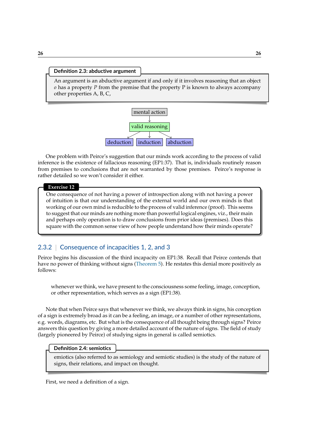#### **Definition 2.3: abductive argument**

An argument is an abductive argument if and only if it involves reasoning that an object *o* has a property *P* from the premise that the property P is known to always accompany other properties A, B, C,



One problem with Peirce's suggestion that our minds work according to the process of valid inference is the existence of fallacious reasoning (EP1:37). That is, individuals routinely reason from premises to conclusions that are not warranted by those premises. Peirce's response is rather detailed so we won't consider it either.

#### **Exercise 12**

One consequence of not having a power of introspection along with not having a power of intuition is that our understanding of the external world and our own minds is that working of our own mind is reducible to the process of valid inference (proof). This seems to suggest that our minds are nothing more than powerful logical engines, viz., their main and perhaps only operation is to draw conclusions from prior ideas (premises). Does this square with the common sense view of how people understand how their minds operate?

### 2.3.2 | Consequence of incapacities 1, 2, and 3

Peirce begins his discussion of the third incapacity on EP1:38. Recall that Peirce contends that have no power of thinking without signs [\(Theorem 5\)](#page-15-0). He restates this denial more positively as follows:

whenever we think, we have present to the consciousness some feeling, image, conception, or other representation, which serves as a sign (EP1:38).

Note that when Peirce says that whenever we think, we always think in signs, his conception of a sign is extremely broad as it can be a feeling, an image, or a number of other representations, e.g. words, diagrams, etc. But what is the consequence of all thought being through signs? Peirce answers this question by giving a more detailed account of the nature of signs. The field of study (largely pioneered by Peirce) of studying signs in general is called semiotics.

#### **Definition 2.4: semiotics**

emiotics (also referred to as semiology and semiotic studies) is the study of the nature of signs, their relations, and impact on thought.

First, we need a definition of a sign.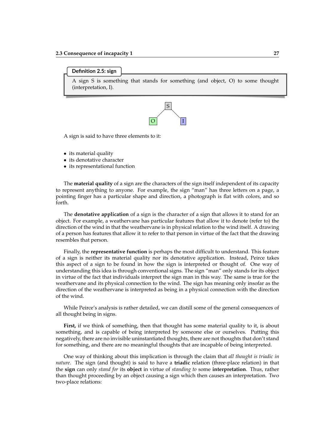#### **Definition 2.5: sign**

A sign S is something that stands for something (and object, O) to some thought (interpretation, I).



A sign is said to have three elements to it:

- its material quality
- its denotative character
- its representational function

The **material quality** of a sign are the characters of the sign itself independent of its capacity to represent anything to anyone. For example, the sign "man" has three letters on a page, a pointing finger has a particular shape and direction, a photograph is flat with colors, and so forth.

The **denotative application** of a sign is the character of a sign that allows it to stand for an object. For example, a weathervane has particular features that allow it to denote (refer to) the direction of the wind in that the weathervane is in physical relation to the wind itself. A drawing of a person has features that allow it to refer to that person in virtue of the fact that the drawing resembles that person.

Finally, the **representative function** is perhaps the most difficult to understand. This feature of a sign is neither its material quality nor its denotative application. Instead, Peirce takes this aspect of a sign to be found in how the sign is interpreted or thought of. One way of understanding this idea is through conventional signs. The sign "man" only stands for its object in virtue of the fact that individuals interpret the sign man in this way. The same is true for the weathervane and its physical connection to the wind. The sign has meaning only insofar as the direction of the weathervane is interpreted as being in a physical connection with the direction of the wind.

While Peirce's analysis is rather detailed, we can distill some of the general consequences of all thought being in signs.

**First,** if we think of something, then that thought has some material quality to it, is about something, and is capable of being interpreted by someone else or ourselves. Putting this negatively, there are no invisible uninstantiated thoughts, there are not thoughts that don't stand for something, and there are no meaningful thoughts that are incapable of being interpreted.

One way of thinking about this implication is through the claim that *all thought is triadic in nature*. The sign (and thought) is said to have a **triadic** relation (three-place relation) in that the **sign** can only *stand for* its **object** in virtue of *standing to* some **interpretation**. Thus, rather than thought proceeding by an object causing a sign which then causes an interpretation. Two two-place relations: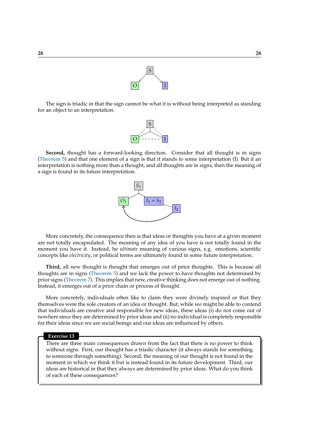

The sign is triadic in that the sign cannot be what it is without being interpreted as standing for an object to an interpretation.

S

O I

**Second,** thought has a forward-looking direction. Consider that all thought is in signs [\(Theorem 5\)](#page-15-0) and that one element of a sign is that it stands to some interpretation (I). But if an interpretation is nothing more than a thought, and all thoughts are in signs, then the meaning of a sign is found in its future interpretation.



More concretely, the consequence then is that ideas or thoughts you have at a given moment are not totally encapsulated. The meaning of any idea of you have is not totally found in the moment you have it. Instead, he *ultimate* meaning of various signs, e.g. emotions, scientific concepts like *electricity*, or political terms are ultimately found in some future interpretation.

**Third,** all new thought is thought that emerges out of prior thoughts. This is because all thoughts are in signs [\(Theorem 5\)](#page-15-0) and we lack the power to have thoughts not determined by prior signs [\(Theorem 7\)](#page-17-0). This implies that new, creative thinking does not emerge out of nothing. Instead, it emerges out of a prior chain or process of thought.

More concretely, individuals often like to claim they were divinely inspired or that they themselves were the sole creators of an idea or thought. But, while we might be able to contend that individuals are creative and responsible for new ideas, these ideas (i) do not come out of nowhere since they are determined by prior ideas and (ii) no individual is completely responsible for their ideas since we are social beings and our ideas are influenced by others.

### **Exercise 13**

There are three main consequences drawn from the fact that there is no power to think without signs. First, our thought has a triadic character (it always stands for something to someone through something). Second, the meaning of our thought is not found in the moment in which we think it but is instead found in its future development. Third, our ideas are historical in that they always are determined by prior ideas. What do you think of each of these consequences?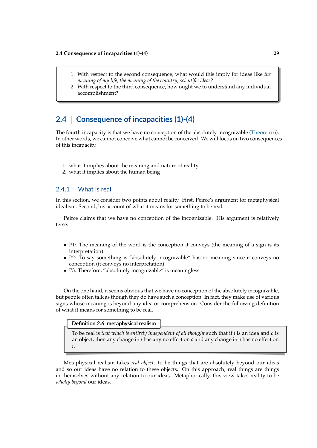- 1. With respect to the second consequence, what would this imply for ideas like *the meaning of my life*, *the meaning of the country*, *scientific ideas*?
- 2. With respect to the third consequence, how ought we to understand any individual accomplishment?

# **2.4** | **Consequence of incapacities (1)-(4)**

The fourth incapacity is that we have no conception of the absolutely incognizable [\(Theorem 6\)](#page-16-0). In other words, we cannot conceive what cannot be conceived. We will focus on two consequences of this incapacity.

- 1. what it implies about the meaning and nature of reality
- 2. what it implies about the human being

### 2.4.1 | What is real

In this section, we consider two points about reality. First, Peirce's argument for metaphysical idealism. Second, his account of what it means for something to be real.

Peirce claims that we have no conception of the incognizable. His argument is relatively terse:

- P1: The meaning of the word is the conception it conveys (the meaning of a sign is its interpretation)
- P2: To say something is "absolutely incognizable" has no meaning since it conveys no conception (it conveys no interpretation).
- P3: Therefore, "absolutely incognizable" is meaningless.

On the one hand, it seems obvious that we have no conception of the absolutely incognizable, but people often talk as though they do have such a conception. In fact, they make use of various signs whose meaning is beyond any idea or comprehension. Consider the following definition of what it means for something to be real.

### **Definition 2.6: metaphysical realism**

To be real is *that which is entirely independent of all thought* such that if *i* is an idea and *o* is an object, then any change in *i* has any no effect on *o* and any change in *o* has no effect on *i*.

Metaphysical realism takes *real objects* to be things that are absolutely beyond our ideas and so our ideas have no relation to these objects. On this approach, real things are things in themselves without any relation to our ideas. Metaphorically, this view takes reality to be *wholly beyond* our ideas.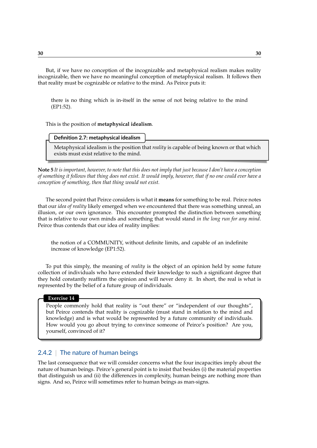But, if we have no conception of the incognizable and metaphysical realism makes reality incognizable, then we have no meaningful conception of metaphysical realism. It follows then that reality must be cognizable or relative to the mind. As Peirce puts it:

there is no thing which is in-itself in the sense of not being relative to the mind (EP1:52).

This is the position of **metaphysical idealism**.

Metaphysical idealism is the position that *reality* is capable of being known or that which exists must exist relative to the mind.

**Note 5** *It is important, however, to note that this does not imply that just because I don't have a conception of something it follows that thing does not exist. It would imply, however, that if no one could ever have a conception of something, then that thing would not exist.*

The second point that Peirce considers is what it **means** for something to be real. Peirce notes that our *idea of reality* likely emerged when we encountered that there was something unreal, an illusion, or our own ignorance. This encounter prompted the distinction between something that is relative to our own minds and something that would stand *in the long run for any mind*. Peirce thus contends that our idea of reality implies:

the notion of a COMMUNITY, without definite limits, and capable of an indefinite increase of knowledge (EP1:52).

To put this simply, the meaning of *reality* is the object of an opinion held by some future collection of individuals who have extended their knowledge to such a significant degree that they hold constantly reaffirm the opinion and will never deny it. In short, the real is what is represented by the belief of a future group of individuals.

#### **Exercise 14**

People commonly hold that reality is "out there" or "independent of our thoughts", but Peirce contends that reality is cognizable (must stand in relation to the mind and knowledge) and is what would be represented by a future community of individuals. How would you go about trying to convince someone of Peirce's position? Are you, yourself, convinced of it?

### 2.4.2 | The nature of human beings

The last consequence that we will consider concerns what the four incapacities imply about the nature of human beings. Peirce's general point is to insist that besides (i) the material properties that distinguish us and (ii) the differences in complexity, human beings are nothing more than signs. And so, Peirce will sometimes refer to human beings as man-signs.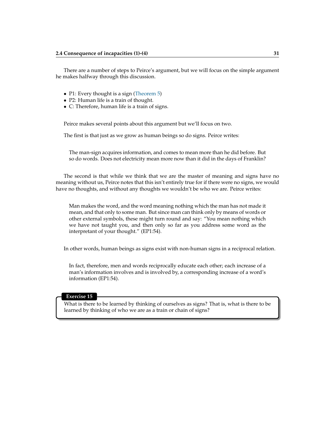There are a number of steps to Peirce's argument, but we will focus on the simple argument he makes halfway through this discussion.

- P1: Every thought is a sign [\(Theorem 5\)](#page-15-0)
- P2: Human life is a train of thought.
- C: Therefore, human life is a train of signs.

Peirce makes several points about this argument but we'll focus on two.

The first is that just as we grow as human beings so do signs. Peirce writes:

The man-sign acquires information, and comes to mean more than he did before. But so do words. Does not electricity mean more now than it did in the days of Franklin?

The second is that while we think that we are the master of meaning and signs have no meaning without us, Peirce notes that this isn't entirely true for if there were no signs, we would have no thoughts, and without any thoughts we wouldn't be who we are. Peirce writes:

Man makes the word, and the word meaning nothing which the man has not made it mean, and that only to some man. But since man can think only by means of words or other external symbols, these might turn round and say: "You mean nothing which we have not taught you, and then only so far as you address some word as the interpretant of your thought." (EP1:54).

In other words, human beings as signs exist with non-human signs in a reciprocal relation.

In fact, therefore, men and words reciprocally educate each other; each increase of a man's information involves and is involved by, a corresponding increase of a word's information (EP1:54).

#### **Exercise 15**

What is there to be learned by thinking of ourselves as signs? That is, what is there to be learned by thinking of who we are as a train or chain of signs?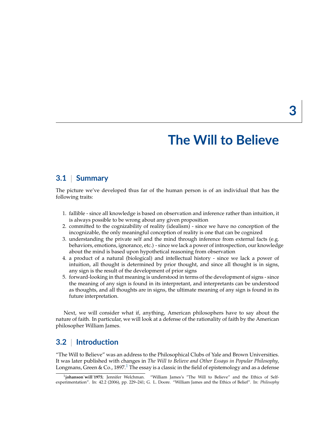# **The Will to Believe**

### **3.1** | **Summary**

The picture we've developed thus far of the human person is of an individual that has the following traits:

- 1. fallible since all knowledge is based on observation and inference rather than intuition, it is always possible to be wrong about any given proposition
- 2. committed to the cognizability of reality (idealism) since we have no conception of the incognizable, the only meaningful conception of reality is one that can be cognized
- 3. understanding the private self and the mind through inference from external facts (e.g. behaviors, emotions, ignorance, etc.) - since we lack a power of introspection, our knowledge about the mind is based upon hypothetical reasoning from observation
- 4. a product of a natural (biological) and intellectual history since we lack a power of intuition, all thought is determined by prior thought, and since all thought is in signs, any sign is the result of the development of prior signs
- 5. forward-looking in that meaning is understood in terms of the development of signs since the meaning of any sign is found in its interpretant, and interpretants can be understood as thoughts, and all thoughts are in signs, the ultimate meaning of any sign is found in its future interpretation.

Next, we will consider what if, anything, American philosophers have to say about the nature of faith. In particular, we will look at a defense of the rationality of faith by the American philosopher William James.

# **3.2** | **Introduction**

"The Will to Believe" was an address to the Philosophical Clubs of Yale and Brown Universities. It was later published with changes in *The Will to Believe and Other Essays in Popular Philosophy*, Longmans, Green & Co., [1](#page-32-0)897.<sup>1</sup> The essay is a classic in the field of epistemology and as a defense

<span id="page-32-0"></span><sup>&</sup>lt;sup>1</sup>johanson will 1975; Jennifer Welchman. "William James's "The Will to Believe" and the Ethics of Selfexperimentation". In: 42.2 (2006), pp. 229–241; G. L. Doore. "William James and the Ethics of Belief". In: *Philosophy*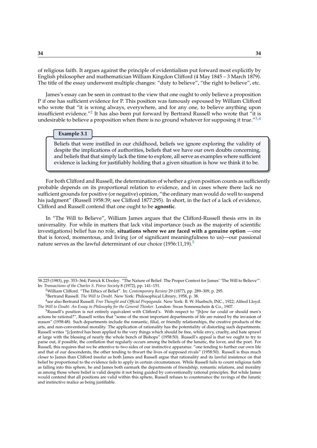of religious faith. It argues against the principle of evidentialism put forward most explicitly by English philosopher and mathematician William Kingdon Clifford (4 May 1845 – 3 March 1879). The title of the essay underwent multiple changes: "duty to believe", "the right to believe", etc.

James's essay can be seen in contrast to the view that one ought to only believe a proposition P if one has sufficient evidence for P. This position was famously espoused by William Clifford who wrote that "it is wrong always, everywhere, and for any one, to believe anything upon insufficient evidence."<sup>[2](#page-33-0)</sup> It has also been put forward by Bertrand Russell who wrote that "it is undesirable to believe a proposition when there is no ground whatever for supposing it true.<sup>"[3,](#page-33-1)[4](#page-33-2)</sup>

#### **Example 3.1**

Beliefs that were instilled in our childhood, beliefs we ignore exploring the validity of despite the implications of authorities, beliefs that we have our own doubts concerning, and beliefs that that simply lack the time to explore, all serve as examples where sufficient evidence is lacking for justifiably holding that a given situation is how we think it to be.

For both Clifford and Russell, the determination of whether a given position counts as sufficiently probable depends on its proportional relation to evidence, and in cases where there lack no sufficient grounds for positive (or negative) opinion, "the ordinary man would do well to suspend his judgment" (Russell 1958:39; see Clifford 1877:295). In short, in the fact of a lack of evidence, Clifford and Russell contend that one ought to be **agnostic**.

In "The Will to Believe", William James argues that the Clifford-Russell thesis errs in its universality. For while in matters that lack vital importance (such as the majority of scientific investigations) belief has no role, **situations where we are faced with a genuine option** —one that is forced, momentous, and living (or of significant meaningfulness to us)—our passional nature serves as the lawful determinant of our choice  $(1956:11,19)$  $(1956:11,19)$  $(1956:11,19)$ .<sup>5</sup>

<sup>58.225 (1983),</sup> pp. 353–364; Patrick K Dooley. "The Nature of Belief: The Proper Context for James' 'The Will to Believe'". In: *Transactions of the Charles S. Peirce Society* 8 (1972), pp. 141–151.

<span id="page-33-0"></span><sup>2</sup>William Clifford. "The Ethics of Belief". In: *Contemporary Review* 29 (1877), pp. 289–309, p. 295.

<span id="page-33-2"></span><span id="page-33-1"></span><sup>3</sup>Bertrand Russell. *The Will to Doubt*. New York: Philosophical Library, 1958, p. 38.

<sup>4</sup> see also Bertrand Russell. *Free Thought and Official Propaganda*. New York: B. W. Huebsch, INC., 1922; Alfred Lloyd. *The Will to Doubt: An Essay in Philosophy for the General Thinker*. London: Swan Sonnenschein & Co., 1907.

<span id="page-33-3"></span><sup>&</sup>lt;sup>5</sup>Russell's position is not entirely equivalent with Clifford's. With respect to "[h]ow far could or should men's actions be rational?", Russell writes that "some of the most important departments of life are ruined by the invasion of reason" (1958:48). Such departments include the romantic, filial, or friendly relationships, the creative products of the arts, and non-conventional morality. The application of rationality has the potentiality of distorting such departments. Russell writes "[c]ontrol has been applied to the very things which should be free, while envy, cruelty, and hate sprawl at large with the blessing of nearly the whole bench of Bishops" (1958:50). Russell's appeal is that we ought to try to parse out, if possible, the conflation that regularly occurs among the beliefs of the lunatic, the lover, and the poet. For Russell, this requires that we be attentive to two sides of our instinctive apparatus: "one tending to further our own life and that of our descendents, the other tending to thwart the lives of supposed rivals" (1958:50). Russell is thus much closer to James than Clifford insofar as both James and Russell argue that rationality and its lawful insistence on that belief be proportional to the evidence fails to apply in certain circumstances. While Russell fails to count religious faith as falling into this sphere, he and James both earmark the departments of friendship, romantic relations, and morality as among those where belief is valid despite it not being guided by conventionally rational principles. But while James would contend that all positions are valid within this sphere, Russell refuses to countenance the ravings of the lunatic and instinctive malice as being justifiable.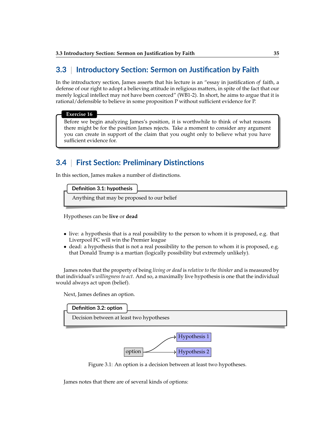# **3.3** | **Introductory Section: Sermon on Justification by Faith**

In the introductory section, James asserts that his lecture is an "essay in justification *of* faith, a defense of our right to adopt a believing attitude in religious matters, in spite of the fact that our merely logical intellect may not have been coerced" (WB1-2). In short, he aims to argue that it is rational/defensible to believe in some proposition P without sufficient evidence for P.

#### **Exercise 16**

Before we begin analyzing James's position, it is worthwhile to think of what reasons there might be for the position James rejects. Take a moment to consider any argument you can create in support of the claim that you ought only to believe what you have sufficient evidence for.

# **3.4** | **First Section: Preliminary Distinctions**

In this section, James makes a number of distinctions.

### **Definition 3.1: hypothesis**

Anything that may be proposed to our belief

Hypotheses can be **live** or **dead**

- live: a hypothesis that is a real possibility to the person to whom it is proposed, e.g. that Liverpool FC will win the Premier league
- dead: a hypothesis that is not a real possibility to the person to whom it is proposed, e.g. that Donald Trump is a martian (logically possibility but extremely unlikely).

James notes that the property of being *living or dead* is *relative to the thinker* and is measured by that individual's *willingness to act*. And so, a maximally live hypothesis is one that the individual would always act upon (belief).

Next, James defines an option.



Figure 3.1: An option is a decision between at least two hypotheses.

James notes that there are of several kinds of options: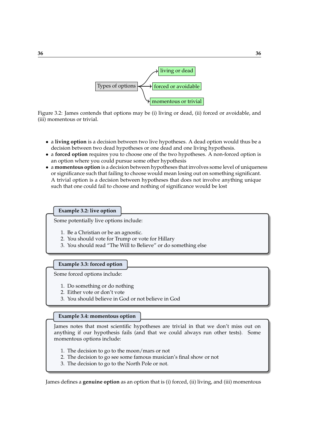

Figure 3.2: James contends that options may be (i) living or dead, (ii) forced or avoidable, and (iii) momentous or trivial.

- a **living option** is a decision between two live hypotheses. A dead option would thus be a decision between two dead hypotheses or one dead and one living hypothesis.
- a **forced option** requires you to choose one of the two hypotheses. A non-forced option is an option where you could pursue some other hypothesis
- a **momentous option** is a decision between hypotheses that involves some level of uniqueness or significance such that failing to choose would mean losing out on something significant. A trivial option is a decision between hypotheses that does not involve anything unique such that one could fail to choose and nothing of significance would be lost

#### **Example 3.2: live option**

Some potentially live options include:

- 1. Be a Christian or be an agnostic.
- 2. You should vote for Trump or vote for Hillary
- 3. You should read "The Will to Believe" or do something else

### **Example 3.3: forced option**

Some forced options include:

- 1. Do something or do nothing
- 2. Either vote or don't vote
- 3. You should believe in God or not believe in God

#### **Example 3.4: momentous option**

James notes that most scientific hypotheses are trivial in that we don't miss out on anything if our hypothesis fails (and that we could always run other tests). Some momentous options include:

- 1. The decision to go to the moon/mars or not
- 2. The decision to go see some famous musician's final show or not
- 3. The decision to go to the North Pole or not.

James defines a **genuine option** as an option that is (i) forced, (ii) living, and (iii) momentous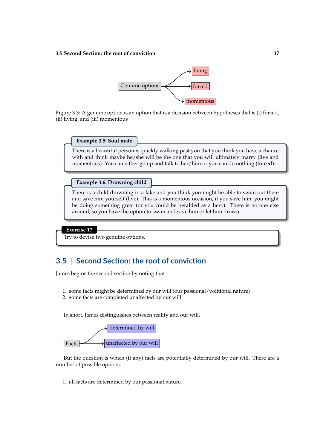

Figure 3.3: A genuine option is an option that is a decision between hypotheses that is (i) forced, (ii) living, and (iii) momentous

#### **Example 3.5: Soul mate**

There is a beautiful person is quickly walking past you that you think you have a chance with and think maybe he/she will be the one that you will ultimately marry (live and momentous). You can either go up and talk to her/him or you can do nothing (forced).

**Example 3.6: Drowning child**

There is a child drowning in a lake and you think you might be able to swim out there and save him yourself (live). This is a momentous occasion, if you save him, you might be doing something great (or you could be heralded as a hero). There is no one else around, so you have the option to swim and save him or let him drown

### **Exercise 17**

Try to devise two genuine options.

# **3.5** | **Second Section: the root of conviction**

James begins the second section by noting that

- 1. some facts might be determined by our will (our passional/volitional nature)
- 2. some facts are completed unaffected by our will

In short, James distinguishes between reality and our will.



But the question is which (if any) facts are potentially determined by our will. There are a number of possible options:

1. all facts are determined by our passional nature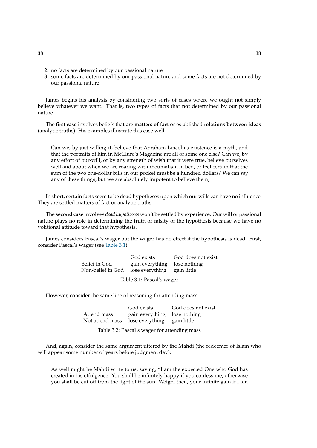- 2. no facts are determined by our passional nature
- 3. some facts are determined by our passional nature and some facts are not determined by our passional nature

James begins his analysis by considering two sorts of cases where we ought not simply believe whatever we want. That is, two types of facts that **not** determined by our passional nature

The **first case** involves beliefs that are **matters of fact** or established **relations between ideas** (analytic truths). His examples illustrate this case well.

Can we, by just willing it, believe that Abraham Lincoln's existence is a myth, and that the portraits of him in McClure's Magazine are all of some one else? Can we, by any effort of our-will, or by any strength of wish that it were true, believe ourselves well and about when we are roaring with rheumatism in bed, or feel certain that the sum of the two one-dollar bills in our pocket must be a hundred dollars? We can *say* any of these things, but we are absolutely impotent to believe them;

In short, certain facts seem to be dead hypotheses upon which our wills can have no influence. They are settled matters of fact or analytic truths.

The **second case** involves *dead hypotheses* won't be settled by experience. Our will or passional nature plays no role in determining the truth or falsity of the hypothesis because we have no volitional attitude toward that hypothesis.

James considers Pascal's wager but the wager has no effect if the hypothesis is dead. First, consider Pascal's wager (see [Table 3.1\)](#page-37-0).

|                                                   | God exists                   | God does not exist |  |  |  |  |
|---------------------------------------------------|------------------------------|--------------------|--|--|--|--|
| Belief in God                                     | gain everything lose nothing |                    |  |  |  |  |
| Non-belief in God $ $ lose everything gain little |                              |                    |  |  |  |  |
| ------                                            |                              |                    |  |  |  |  |

<span id="page-37-0"></span>Table 3.1: Pascal's wager

However, consider the same line of reasoning for attending mass.

|             | God exists                                    | God does not exist |
|-------------|-----------------------------------------------|--------------------|
| Attend mass | gain everything lose nothing                  |                    |
|             | Not attend mass   lose everything gain little |                    |

Table 3.2: Pascal's wager for attending mass

And, again, consider the same argument uttered by the Mahdi (the redeemer of Islam who will appear some number of years before judgment day):

As well might he Mahdi write to us, saying, "I am the expected One who God has created in his effulgence. You shall be infinitely happy if you confess me; otherwise you shall be cut off from the light of the sun. Weigh, then, your infinite gain if I am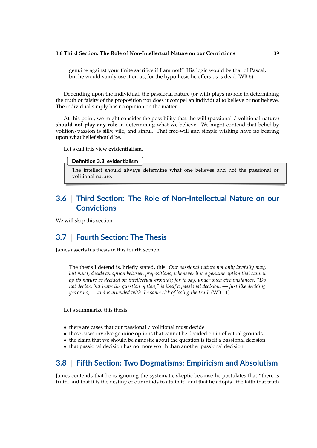genuine against your finite sacrifice if I am not!" His logic would be that of Pascal; but he would vainly use it on us, for the hypothesis he offers us is dead (WB:6).

Depending upon the individual, the passional nature (or will) plays no role in determining the truth or falsity of the proposition nor does it compel an individual to believe or not believe. The individual simply has no opinion on the matter.

At this point, we might consider the possibility that the will (passional / volitional nature) **should not play any role** in determining what we believe. We might contend that belief by volition/passion is silly, vile, and sinful. That free-will and simple wishing have no bearing upon what belief should be.

Let's call this view **evidentialism**.

**Definition 3.3: evidentialism**

The intellect should always determine what one believes and not the passional or volitional nature.

# **3.6** | **Third Section: The Role of Non-Intellectual Nature on our Convictions**

We will skip this section.

# **3.7** | **Fourth Section: The Thesis**

James asserts his thesis in this fourth section:

The thesis I defend is, briefly stated, this: *Our passional nature not only lawfully may, but must, decide an option between propositions, whenever it is a genuine option that cannot by its nature be decided on intellectual grounds; for to say, under such circumstances, "Do not decide, but leave the question option," is itself a passional decision, — just like deciding yes or no, — and is attended with the same risk of losing the truth* (WB:11).

Let's summarize this thesis:

- there are cases that our passional / volitional must decide
- these cases involve genuine options that cannot be decided on intellectual grounds
- the claim that we should be agnostic about the question is itself a passional decision
- that passional decision has no more worth than another passional decision

# **3.8** | **Fifth Section: Two Dogmatisms: Empiricism and Absolutism**

James contends that he is ignoring the systematic skeptic because he postulates that "there is truth, and that it is the destiny of our minds to attain it" and that he adopts "the faith that truth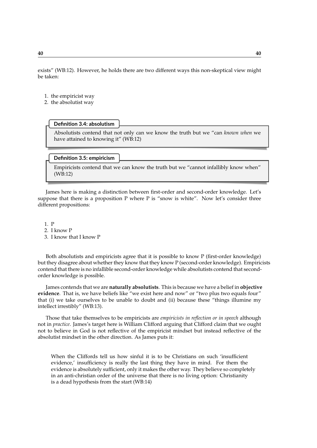exists" (WB:12). However, he holds there are two different ways this non-skeptical view might be taken:

- 1. the empiricist way
- 2. the absolutist way

#### **Definition 3.4: absolutism**

Absolutists contend that not only can we know the truth but we "can *known when* we have attained to knowing it" (WB:12)

#### **Definition 3.5: empiricism**

Empiricists contend that we can know the truth but we "cannot infallibly know when" (WB:12)

James here is making a distinction between first-order and second-order knowledge. Let's suppose that there is a proposition P where P is "snow is white". Now let's consider three different propositions:

1. P

- 2. I know P
- 3. I know that I know P

Both absolutists and empiricists agree that it is possible to know P (first-order knowledge) but they disagree about whether they know that they know P (second-order knowledge). Empiricists contend that there is no infallible second-order knowledge while absolutists contend that secondorder knowledge is possible.

James contends that we are **naturally absolutists**. This is because we have a belief in **objective evidence**. That is, we have beliefs like "we exist here and now" or "two plus two equals four" that (i) we take ourselves to be unable to doubt and (ii) because these "things illumine my intellect irrestibly" (WB:13).

Those that take themselves to be empiricists are *empiricists in reflection or in speech* although not in *practice*. James's target here is William Clifford arguing that Clifford claim that we ought not to believe in God is not reflective of the empiricist mindset but instead reflective of the absolutist mindset in the other direction. As James puts it:

When the Cliffords tell us how sinful it is to be Christians on such 'insufficient evidence,' insufficiency is really the last thing they have in mind. For them the evidence is absolutely sufficient, only it makes the other way. They believe so completely in an anti-christian order of the universe that there is no living option: Christianity is a dead hypothesis from the start (WB:14)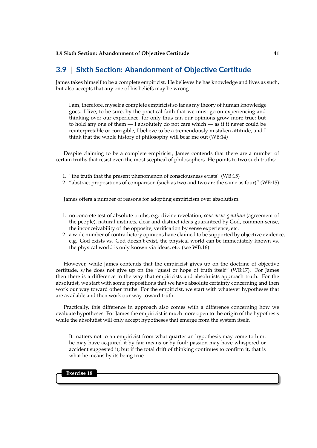## **3.9** | **Sixth Section: Abandonment of Objective Certitude**

James takes himself to be a complete empiricist. He believes he has knowledge and lives as such, but also accepts that any one of his beliefs may be wrong

I am, therefore, myself a complete empiricist so far as my theory of human knowledge goes. I live, to be sure, by the practical faith that we must go on experiencing and thinking over our experience, for only thus can our opinions grow more true; but to hold any one of them — I absolutely do not care which — as if it never could be reinterpretable or corrigible, I believe to be a tremendously mistaken attitude, and I think that the whole history of philosophy will bear me out (WB:14)

Despite claiming to be a complete empiricist, James contends that there are a number of certain truths that resist even the most sceptical of philosophers. He points to two such truths:

- 1. "the truth that the present phenomenon of consciousness exists" (WB:15)
- 2. "abstract propositions of comparison (such as two and two are the same as four)" (WB:15)

James offers a number of reasons for adopting empiricism over absolutism.

- 1. no concrete test of absolute truths, e.g. divine revelation, *consensus gentium* (agreement of the people), natural instincts, clear and distinct ideas guaranteed by God, common-sense, the inconceivability of the opposite, verification by sense experience, etc.
- 2. a wide number of contradictory opinions have claimed to be supported by objective evidence, e.g. God exists vs. God doesn't exist, the physical world can be immediately known vs. the physical world is only known via ideas, etc. (see WB:16)

However, while James contends that the empiricist gives up on the doctrine of objective certitude, s/he does not give up on the "quest or hope of truth itself" (WB:17). For James then there is a difference in the way that empiricists and absolutists approach truth. For the absolutist, we start with some propositions that we have absolute certainty concerning and then work our way toward other truths. For the empiricist, we start with whatever hypotheses that are available and then work our way toward truth.

Practically, this difference in approach also comes with a difference concerning how we evaluate hypotheses. For James the empiricist is much more open to the origin of the hypothesis while the absolutist will only accept hypotheses that emerge from the system itself.

It matters not to an empiricist from what quarter an hypothesis may come to him: he may have acquired it by fair means or by foul; passion may have whispered or accident suggested it; but if the total drift of thinking continues to confirm it, that is what he means by its being true

**Exercise 18**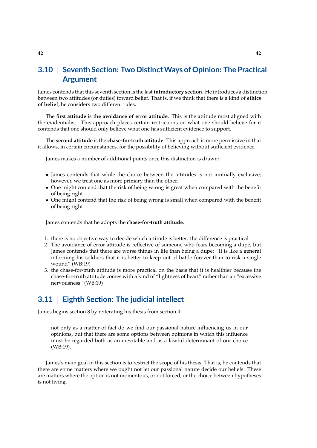# **3.10** | **Seventh Section: Two DistinctWays of Opinion: The Practical Argument**

James contends that this seventh section is the last **introductory section**. He introduces a distinction between two attitudes (or duties) toward belief. That is, if we think that there is a kind of **ethics of belief**, he considers two different rules.

The **first attitude** is **the avoidance of error attitude**. This is the attitude most aligned with the evidentialist. This approach places certain restrictions on what one should believe for it contends that one should only believe what one has sufficient evidence to support.

The **second attitude** is the **chase-for-truth attitude**. This approach is more permissive in that it allows, in certain circumstances, for the possibility of believing without sufficient evidence.

James makes a number of additional points once this distinction is drawn:

- James contends that while the choice between the attitudes is not mutually exclusive; however, we treat one as more primary than the other.
- One might contend that the risk of being wrong is great when compared with the benefit of being right
- One might contend that the risk of being wrong is small when compared with the benefit of being right

James contends that he adopts the **chase-for-truth attitude**.

- 1. there is no objective way to decide which attitude is better: the difference is practical
- 2. The avoidance of error attitude is reflective of someone who fears becoming a dupe, but James contends that there are worse things in life than being a dupe: "It is like a general informing his soldiers that it is better to keep out of battle forever than to risk a single wound" (WB:19)
- 3. the chase-for-truth attitude is more practical on the basis that it is healthier because the chase-for-truth attitude comes with a kind of "lightness of heart" rather than an "excessive nervousness" (WB:19)

# **3.11** | **Eighth Section: The judicial intellect**

James begins section 8 by reiterating his thesis from section 4:

not only as a matter of fact do we find our passional nature influencing us in our opinions, but that there are some options between opinions in which this influence must be regarded both as an inevitable and as a lawful determinant of our choice (WB:19).

James's main goal in this section is to restrict the scope of his thesis. That is, he contends that there are some matters where we ought not let our passional nature decide our beliefs. These are matters where the option is not momentous, or not forced, or the choice between hypotheses is not living.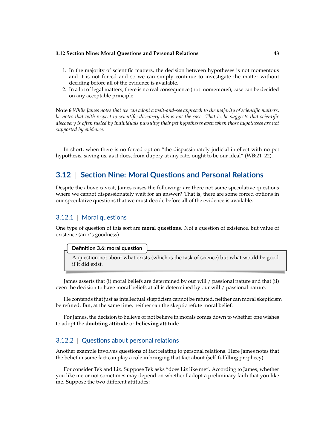- 1. In the majority of scientific matters, the decision between hypotheses is not momentous and it is not forced and so we can simply continue to investigate the matter without deciding before all of the evidence is available.
- 2. In a lot of legal matters, there is no real consequence (not momentous); case can be decided on any acceptable principle.

**Note 6** *While James notes that we can adopt a wait-and-see approach to the majority of scientific matters, he notes that with respect to scientific discovery this is not the case. That is, he suggests that scientific discovery is often fueled by individuals pursuing their pet hypotheses even when those hypotheses are not supported by evidence.*

In short, when there is no forced option "the dispassionately judicial intellect with no pet hypothesis, saving us, as it does, from dupery at any rate, ought to be our ideal" (WB:21–22).

## **3.12** | **Section Nine: Moral Questions and Personal Relations**

Despite the above caveat, James raises the following: are there not some speculative questions where we cannot dispassionately wait for an answer? That is, there are some forced options in our speculative questions that we must decide before all of the evidence is available.

### 3.12.1 | Moral questions

One type of question of this sort are **moral questions**. Not a question of existence, but value of existence (an x's goodness)

#### **Definition 3.6: moral question**

A question not about what exists (which is the task of science) but what would be good if it did exist.

James asserts that (i) moral beliefs are determined by our will / passional nature and that (ii) even the decision to have moral beliefs at all is determined by our will / passional nature.

He contends that just as intellectual skepticism cannot be refuted, neither can moral skepticism be refuted. But, at the same time, neither can the skeptic refute moral belief.

For James, the decision to believe or not believe in morals comes down to whether one wishes to adopt the **doubting attitude** or **believing attitude**

### 3.12.2 | Questions about personal relations

Another example involves questions of fact relating to personal relations. Here James notes that the belief in some fact can play a role in bringing that fact about (self-fulfilling prophecy).

For consider Tek and Liz. Suppose Tek asks "does Liz like me". According to James, whether you like me or not sometimes may depend on whether I adopt a preliminary faith that you like me. Suppose the two different attitudes: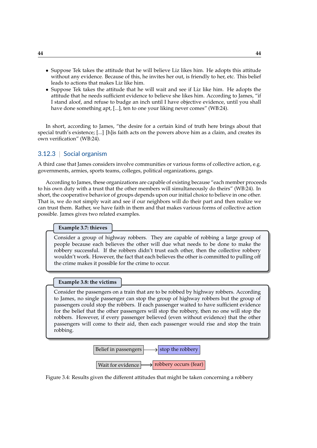- Suppose Tek takes the attitude that he will believe Liz likes him. He adopts this attitude without any evidence. Because of this, he invites her out, is friendly to her, etc. This belief leads to actions that makes Liz like him.
- Suppose Tek takes the attitude that he will wait and see if Liz like him. He adopts the attitude that he needs sufficient evidence to believe she likes him. According to James, "if I stand aloof, and refuse to budge an inch until I have objective evidence, until you shall have done something apt, [...], ten to one your liking never comes" (WB:24).

In short, according to James, "the desire for a certain kind of truth here brings about that special truth's existence; [...] [h]is faith acts on the powers above him as a claim, and creates its own verification" (WB:24).

### 3.12.3 | Social organism

A third case that James considers involve communities or various forms of collective action, e.g. governments, armies, sports teams, colleges, political organizations, gangs.

According to James, these organizations are capable of existing because "each member proceeds to his own duty with a trust that the other members will simultaneously do theirs" (WB:24). In short, the cooperative behavior of groups depends upon our initial choice to believe in one other. That is, we do not simply wait and see if our neighbors will do their part and then realize we can trust them. Rather, we have faith in them and that makes various forms of collective action possible. James gives two related examples.

**Example 3.7: thieves**

Consider a group of highway robbers. They are capable of robbing a large group of people because each believes the other will due what needs to be done to make the robbery successful. If the robbers didn't trust each other, then the collective robbery wouldn't work. However, the fact that each believes the other is committed to pulling off the crime makes it possible for the crime to occur.

#### **Example 3.8: the victims**

Consider the passengers on a train that are to be robbed by highway robbers. According to James, no single passenger can stop the group of highway robbers but the group of passengers could stop the robbers. If each passenger waited to have sufficient evidence for the belief that the other passengers will stop the robbery, then no one will stop the robbers. However, if every passenger believed (even without evidence) that the other passengers will come to their aid, then each passenger would rise and stop the train robbing.



Figure 3.4: Results given the different attitudes that might be taken concerning a robbery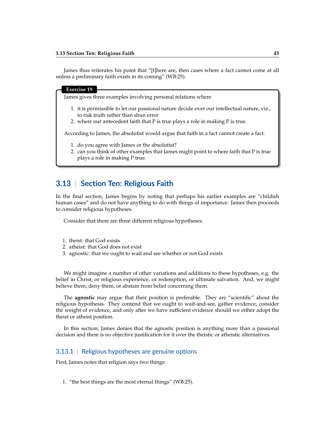James thus reiterates his point that "[t]here are, then cases where a fact cannot come at all unless a preliminary faith exists in its coming" (WB:25).

#### **Exercise 19**

James gives three examples involving personal relations where

- 1. it is permissible to let our passional nature decide over our intellectual nature, viz., to risk truth rather than shun error
- 2. where our antecedent faith that P is true plays a role in making P is true.

According to James, the absolutist would argue that faith in a fact cannot create a fact.

- 1. do you agree with James or the absolutist?
- 2. can you think of other examples that James might point to where faith that P is true plays a role in making P true.

### **3.13** | **Section Ten: Religious Faith**

In the final section, James begins by noting that perhaps his earlier examples are "childish human cases" and do not have anything to do with things of importance. James then proceeds to consider religious hypotheses.

Consider that there are three different religious hypotheses:

- 1. theist: that God exists
- 2. atheist: that God does not exist
- 3. agnostic: that we ought to wait and see whether or not God exists

We might imagine a number of other variations and additions to these hypotheses, e.g. the belief in Christ, or religious experience, or redemption, or ultimate salvation. And, we might believe them, deny them, or abstain from belief concerning them.

The **agnostic** may argue that their position is preferable. They are "scientific" about the religious hypothesis. They contend that we ought to wait-and-see, gather evidence, consider the weight of evidence, and only after we have sufficient evidence should we either adopt the theist or atheist position.

In this section, James denies that the agnostic position is anything more than a passional decision and there is no objective justification for it over the theistic or atheistic alternatives.

### 3.13.1 | Religious hypotheses are genuine options

First, James notes that religion says two things:

1. "the best things are the most eternal things" (WB:25).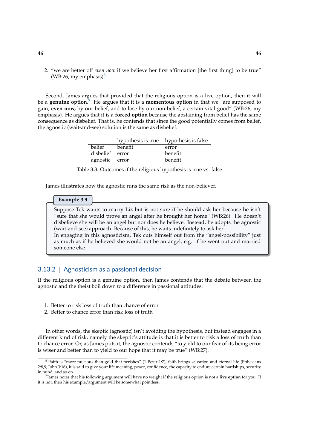2. "we are better off *even now* if we believe her first affirmation [the first thing] to be true"  $(WB:26, my emphasis)^6$  $(WB:26, my emphasis)^6$  $(WB:26, my emphasis)^6$ 

Second, James argues that provided that the religious option is a live option, then it will be a **genuine option**. [7](#page-45-1) He argues that it is a **momentous option** in that we "are supposed to gain, **even now,** by our belief, and to lose by our non-belief, a certain vital good" (WB:26, my emphasis). He argues that it is a **forced option** because the abstaining from belief has the same consequence as disbelief. That is, he contends that since the good potentially comes from belief, the agnostic (wait-and-see) solution is the same as disbelief.

|                 | hypothesis is true hypothesis is false |         |
|-----------------|----------------------------------------|---------|
| belief          | benefit                                | error   |
| disbelief error |                                        | benefit |
| agnostic error  |                                        | benefit |

Table 3.3: Outcomes if the religious hypothesis is true vs. false

James illustrates how the agnostic runs the same risk as the non-believer.

#### **Example 3.9**

someone else.

Suppose Tek wants to marry Liz but is not sure if he should ask her because he isn't "sure that she would prove an angel after he brought her home" (WB:26). He doesn't disbelieve she will be an angel but nor does he believe. Instead, he adopts the agnostic (wait-and-see) approach. Because of this, he waits indefinitely to ask her. In engaging in this agnosticism, Tek cuts himself out from the "angel-possibility" just as much as if he believed she would not be an angel, e.g. if he went out and married

### 3.13.2 | Agnosticism as a passional decision

If the religious option is a genuine option, then James contends that the debate between the agnostic and the theist boil down to a difference in passional attitudes:

- 1. Better to risk loss of truth than chance of error
- 2. Better to chance error than risk loss of truth

In other words, the skeptic (agnostic) isn't avoiding the hypothesis, but instead engages in a different kind of risk, namely the skeptic's attitude is that it is better to risk a loss of truth than to chance error. Or, as James puts it, the agnostic contends "to yield to our fear of its being error is wiser and better than to yield to our hope that it may be true" (WB:27).

<span id="page-45-0"></span> $6$ "faith is "more precious than gold that perishes" (1 Peter 1:7), faith brings salvation and eternal life (Ephesians 2:8,9; John 3:16), it is said to give your life meaning, peace, confidence, the capacity to endure certain hardships, security in mind, and so on.

<span id="page-45-1"></span><sup>7</sup> James notes that his following argument will have no weight if the religious option is not a **live option** for you. If it is not, then his example/argument will be somewhat pointless.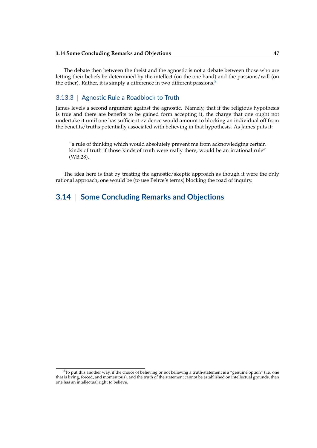The debate then between the theist and the agnostic is not a debate between those who are letting their beliefs be determined by the intellect (on the one hand) and the passions/will (on the other). Rather, it is simply a difference in two different passions.<sup>[8](#page-46-0)</sup>

### 3.13.3 | Agnostic Rule a Roadblock to Truth

James levels a second argument against the agnostic. Namely, that if the religious hypothesis is true and there are benefits to be gained form accepting it, the charge that one ought not undertake it until one has sufficient evidence would amount to blocking an individual off from the benefits/truths potentially associated with believing in that hypothesis. As James puts it:

"a rule of thinking which would absolutely prevent me from acknowledging certain kinds of truth if those kinds of truth were really there, would be an irrational rule" (WB:28).

The idea here is that by treating the agnostic/skeptic approach as though it were the only rational approach, one would be (to use Peirce's terms) blocking the road of inquiry.

# **3.14** | **Some Concluding Remarks and Objections**

<span id="page-46-0"></span> $8$ To put this another way, if the choice of believing or not believing a truth-statement is a "genuine option" (i.e. one that is living, forced, and momentous), and the truth of the statement cannot be established on intellectual grounds, then one has an intellectual right to believe.